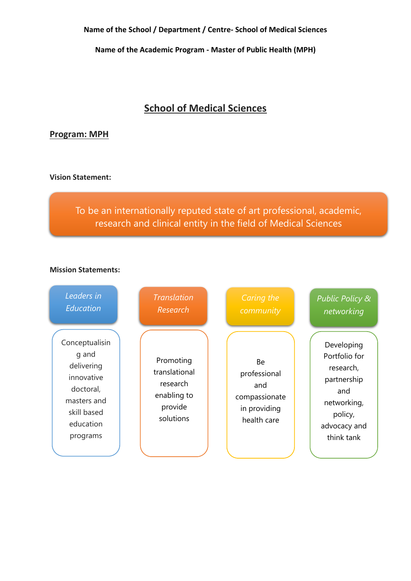**Name of the Academic Program - Master of Public Health (MPH)**

# **School of Medical Sciences**

# **Program: MPH**

**Vision Statement:**

To be an internationally reputed state of art professional, academic, research and clinical entity in the field of Medical Sciences

#### **Mission Statements:**

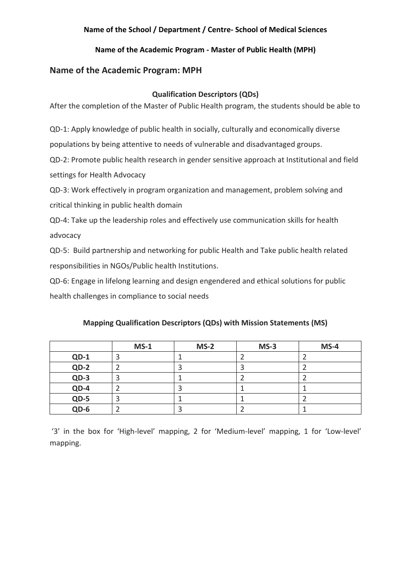## **Name of the Academic Program - Master of Public Health (MPH)**

# **Name of the Academic Program: MPH**

#### **Qualification Descriptors (QDs)**

After the completion of the Master of Public Health program, the students should be able to

QD-1: Apply knowledge of public health in socially, culturally and economically diverse

populations by being attentive to needs of vulnerable and disadvantaged groups.

QD-2: Promote public health research in gender sensitive approach at Institutional and field settings for Health Advocacy

QD-3: Work effectively in program organization and management, problem solving and critical thinking in public health domain

QD-4: Take up the leadership roles and effectively use communication skills for health advocacy

QD-5: Build partnership and networking for public Health and Take public health related responsibilities in NGOs/Public health Institutions.

QD-6: Engage in lifelong learning and design engendered and ethical solutions for public health challenges in compliance to social needs

|        | $MS-1$ | $MS-2$ | $MS-3$ | $MS-4$ |
|--------|--------|--------|--------|--------|
| $QD-1$ |        |        |        |        |
| $QD-2$ |        |        |        |        |
| $QD-3$ |        |        |        |        |
| $QD-4$ |        |        |        |        |
| $QD-5$ | 3      |        |        |        |
| $QD-6$ |        |        |        |        |

#### **Mapping Qualification Descriptors (QDs) with Mission Statements (MS)**

'3' in the box for 'High-level' mapping, 2 for 'Medium-level' mapping, 1 for 'Low-level' mapping.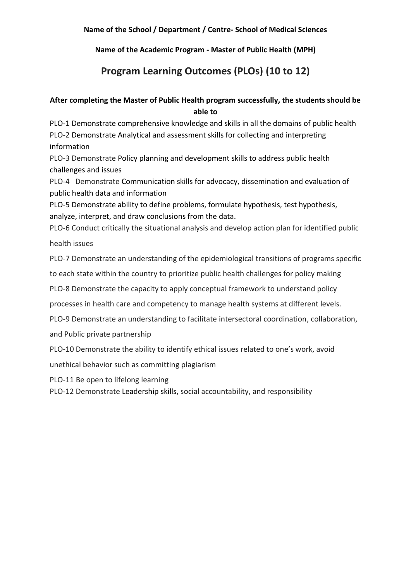**Name of the Academic Program - Master of Public Health (MPH)**

# **Program Learning Outcomes (PLOs) (10 to 12)**

# **After completing the Master of Public Health program successfully, the students should be able to**

PLO-1 Demonstrate comprehensive knowledge and skills in all the domains of public health PLO-2 Demonstrate Analytical and assessment skills for collecting and interpreting information

PLO-3 Demonstrate Policy planning and development skills to address public health challenges and issues

PLO-4 Demonstrate Communication skills for advocacy, dissemination and evaluation of public health data and information

PLO-5 Demonstrate ability to define problems, formulate hypothesis, test hypothesis, analyze, interpret, and draw conclusions from the data.

PLO-6 Conduct critically the situational analysis and develop action plan for identified public health issues

PLO-7 Demonstrate an understanding of the epidemiological transitions of programs specific

to each state within the country to prioritize public health challenges for policy making

PLO-8 Demonstrate the capacity to apply conceptual framework to understand policy

processes in health care and competency to manage health systems at different levels.

PLO-9 Demonstrate an understanding to facilitate intersectoral coordination, collaboration,

and Public private partnership

PLO-10 Demonstrate the ability to identify ethical issues related to one's work, avoid

unethical behavior such as committing plagiarism

PLO-11 Be open to lifelong learning

PLO-12 Demonstrate Leadership skills, social accountability, and responsibility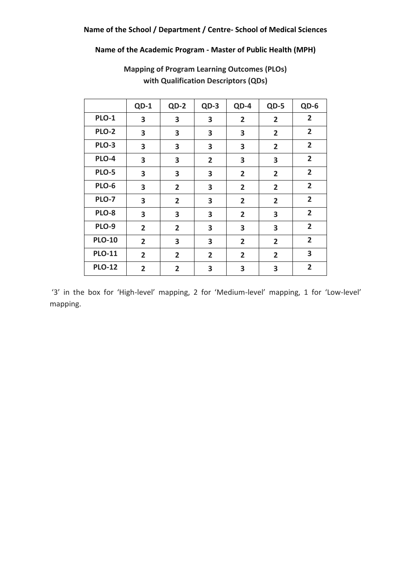## **Name of the Academic Program - Master of Public Health (MPH)**

|               | $QD-1$         | $QD-2$         | $QD-3$         | QD-4           | QD-5           | QD-6           |
|---------------|----------------|----------------|----------------|----------------|----------------|----------------|
| <b>PLO-1</b>  | 3              | 3              | 3              | $\overline{2}$ | $\overline{2}$ | $\overline{2}$ |
| <b>PLO-2</b>  | 3              | 3              | 3              | 3              | $\overline{2}$ | $\overline{2}$ |
| PLO-3         | 3              | 3              | 3              | 3              | $\overline{2}$ | $\overline{2}$ |
| PLO-4         | 3              | 3              | $\overline{2}$ | 3              | 3              | $\overline{2}$ |
| PLO-5         | 3              | 3              | 3              | $\overline{2}$ | $\overline{2}$ | $\overline{2}$ |
| PLO-6         | 3              | $\overline{2}$ | 3              | $\overline{2}$ | $\overline{2}$ | $\overline{2}$ |
| PLO-7         | 3              | $\overline{2}$ | 3              | $\overline{2}$ | $\overline{2}$ | $\overline{2}$ |
| <b>PLO-8</b>  | 3              | 3              | 3              | $\overline{2}$ | 3              | $\overline{2}$ |
| PLO-9         | $\overline{2}$ | $\overline{2}$ | 3              | 3              | 3              | $\overline{2}$ |
| <b>PLO-10</b> | $\overline{2}$ | 3              | 3              | $\overline{2}$ | $\overline{2}$ | $\overline{2}$ |
| <b>PLO-11</b> | $\overline{2}$ | $\overline{2}$ | $\overline{2}$ | $\overline{2}$ | $\overline{2}$ | 3              |
| <b>PLO-12</b> | $\overline{2}$ | $\overline{2}$ | 3              | 3              | 3              | $\overline{2}$ |

**Mapping of Program Learning Outcomes (PLOs) with Qualification Descriptors (QDs)**

'3' in the box for 'High-level' mapping, 2 for 'Medium-level' mapping, 1 for 'Low-level' mapping.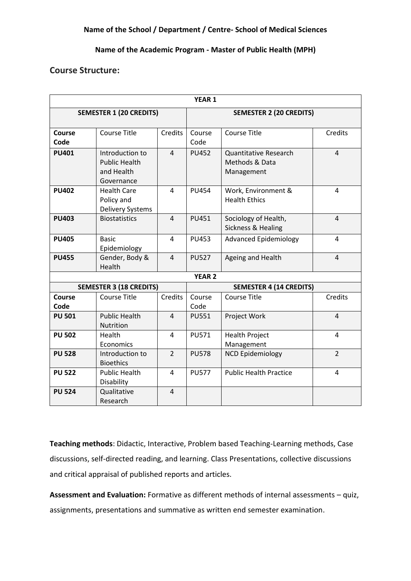### **Name of the Academic Program - Master of Public Health (MPH)**

### **Course Structure:**

|                       |                                                                     |                | YEAR 1         |                                                              |                |
|-----------------------|---------------------------------------------------------------------|----------------|----------------|--------------------------------------------------------------|----------------|
|                       | <b>SEMESTER 1 (20 CREDITS)</b>                                      |                |                | <b>SEMESTER 2 (20 CREDITS)</b>                               |                |
|                       |                                                                     |                |                |                                                              |                |
| <b>Course</b><br>Code | <b>Course Title</b>                                                 | Credits        | Course<br>Code | <b>Course Title</b>                                          | Credits        |
| <b>PU401</b>          | Introduction to<br><b>Public Health</b><br>and Health<br>Governance | $\overline{4}$ | <b>PU452</b>   | <b>Quantitative Research</b><br>Methods & Data<br>Management | $\overline{4}$ |
| <b>PU402</b>          | <b>Health Care</b><br>Policy and<br><b>Delivery Systems</b>         | 4              | <b>PU454</b>   | Work, Environment &<br><b>Health Ethics</b>                  | 4              |
| <b>PU403</b>          | <b>Biostatistics</b>                                                | $\overline{4}$ | <b>PU451</b>   | Sociology of Health,<br>Sickness & Healing                   | $\overline{4}$ |
| <b>PU405</b>          | <b>Basic</b><br>Epidemiology                                        | 4              | <b>PU453</b>   | <b>Advanced Epidemiology</b>                                 | 4              |
| <b>PU455</b>          | Gender, Body &<br>Health                                            | $\overline{4}$ | <b>PU527</b>   | Ageing and Health                                            | $\overline{4}$ |
|                       |                                                                     |                | <b>YEAR 2</b>  |                                                              |                |
|                       | <b>SEMESTER 3 (18 CREDITS)</b>                                      |                |                | <b>SEMESTER 4 (14 CREDITS)</b>                               |                |
| Course<br>Code        | <b>Course Title</b>                                                 | Credits        | Course<br>Code | <b>Course Title</b>                                          | Credits        |
| <b>PU 501</b>         | <b>Public Health</b><br>Nutrition                                   | 4              | <b>PU551</b>   | Project Work                                                 | $\overline{4}$ |
| <b>PU 502</b>         | Health<br>Economics                                                 | $\overline{4}$ | <b>PU571</b>   | <b>Health Project</b><br>Management                          | 4              |
| <b>PU 528</b>         | Introduction to<br><b>Bioethics</b>                                 | $\overline{2}$ | <b>PU578</b>   | <b>NCD Epidemiology</b>                                      | $\overline{2}$ |
| <b>PU 522</b>         | <b>Public Health</b><br>Disability                                  | $\overline{4}$ | <b>PU577</b>   | <b>Public Health Practice</b>                                | $\overline{4}$ |
| <b>PU 524</b>         | Qualitative<br>Research                                             | $\overline{4}$ |                |                                                              |                |

**Teaching methods**: Didactic, Interactive, Problem based Teaching-Learning methods, Case discussions, self-directed reading, and learning. Class Presentations, collective discussions and critical appraisal of published reports and articles.

**Assessment and Evaluation:** Formative as different methods of internal assessments – quiz, assignments, presentations and summative as written end semester examination.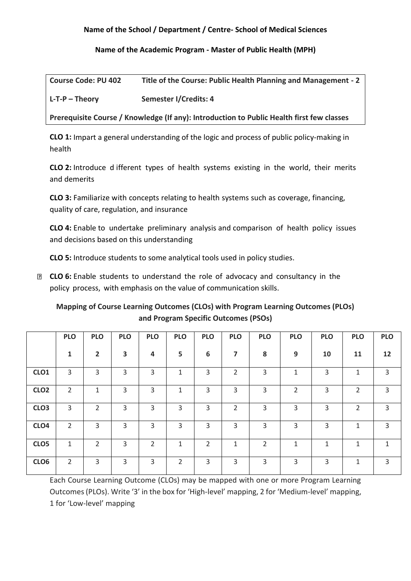**Name of the Academic Program - Master of Public Health (MPH)**

| <b>Course Code: PU 402</b> | Title of the Course: Public Health Planning and Management - 2 |
|----------------------------|----------------------------------------------------------------|
| $L$ -T-P – Theory          | Semester I/Credits: 4                                          |

**Prerequisite Course / Knowledge (If any): Introduction to Public Health first few classes** 

**CLO 1:** Impart a general understanding of the logic and process of public policy-making in health

**CLO 2:** Introduce d ifferent types of health systems existing in the world, their merits and demerits

**CLO 3:** Familiarize with concepts relating to health systems such as coverage, financing, quality of care, regulation, and insurance

**CLO 4:** Enable to undertake preliminary analysis and comparison of health policy issues and decisions based on this understanding

**CLO 5:** Introduce students to some analytical tools used in policy studies.

**E CLO 6:** Enable students to understand the role of advocacy and consultancy in the policy process, with emphasis on the value of communication skills.

**Mapping of Course Learning Outcomes (CLOs) with Program Learning Outcomes (PLOs) and Program Specific Outcomes (PSOs)**

|                  | <b>PLO</b>     | <b>PLO</b>     | <b>PLO</b>              | <b>PLO</b>     | <b>PLO</b>     | <b>PLO</b>     | <b>PLO</b>     | <b>PLO</b> | <b>PLO</b>     | <b>PLO</b>   | <b>PLO</b>     | <b>PLO</b>     |
|------------------|----------------|----------------|-------------------------|----------------|----------------|----------------|----------------|------------|----------------|--------------|----------------|----------------|
|                  | $\mathbf{1}$   | $\overline{2}$ | $\overline{\mathbf{3}}$ | $\overline{a}$ | 5              | 6              | 7              | 8          | 9              | 10           | 11             | 12             |
| CLO <sub>1</sub> | 3              | 3              | 3                       | 3              | $\mathbf{1}$   | 3              | 2              | 3          | $\mathbf{1}$   | 3            | $\mathbf{1}$   | 3              |
| CLO <sub>2</sub> | $\overline{2}$ | 1              | 3                       | 3              | 1              | 3              | 3              | 3          | $\overline{2}$ | 3            | $\overline{2}$ | 3              |
| CLO <sub>3</sub> | 3              | $\overline{2}$ | 3                       | 3              | $\overline{3}$ | 3              | $\overline{2}$ | 3          | 3              | 3            | 2              | $\overline{3}$ |
| CLO <sub>4</sub> | $\overline{2}$ | 3              | 3                       | 3              | $\overline{3}$ | 3              | 3              | 3          | 3              | 3            | $\mathbf{1}$   | 3              |
| CLO <sub>5</sub> | $\mathbf{1}$   | $\overline{2}$ | $\overline{3}$          | $\overline{2}$ | $\mathbf{1}$   | $\overline{2}$ | 1              | 2          | 1              | $\mathbf{1}$ | 1              | 1              |
| CLO <sub>6</sub> | 2              | 3              | 3                       | 3              | $\overline{2}$ | 3              | 3              | 3          | 3              | 3            | 1              | 3              |

Each Course Learning Outcome (CLOs) may be mapped with one or more Program Learning Outcomes (PLOs). Write '3' in the box for 'High-level' mapping, 2 for 'Medium-level' mapping, 1 for 'Low-level' mapping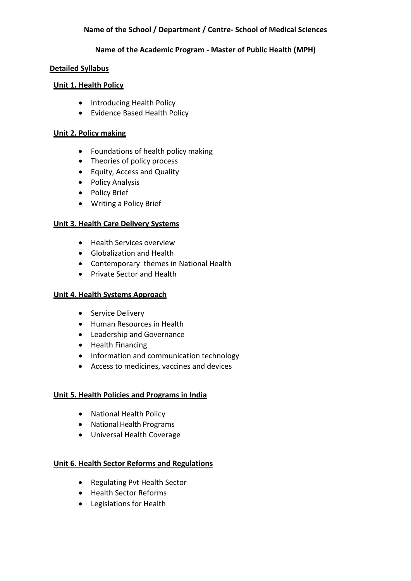#### **Name of the Academic Program - Master of Public Health (MPH)**

#### **Detailed Syllabus**

#### **Unit 1. Health Policy**

- Introducing Health Policy
- Evidence Based Health Policy

## **Unit 2. Policy making**

- Foundations of health policy making
- Theories of policy process
- Equity, Access and Quality
- Policy Analysis
- Policy Brief
- Writing a Policy Brief

# **Unit 3. Health Care Delivery Systems**

- Health Services overview
- Globalization and Health
- Contemporary themes in National Health
- Private Sector and Health

## **Unit 4. Health Systems Approach**

- Service Delivery
- Human Resources in Health
- Leadership and Governance
- Health Financing
- Information and communication technology
- Access to medicines, vaccines and devices

# **Unit 5. Health Policies and Programs in India**

- National Health Policy
- National Health Programs
- Universal Health Coverage

# **Unit 6. Health Sector Reforms and Regulations**

- Regulating Pvt Health Sector
- Health Sector Reforms
- Legislations for Health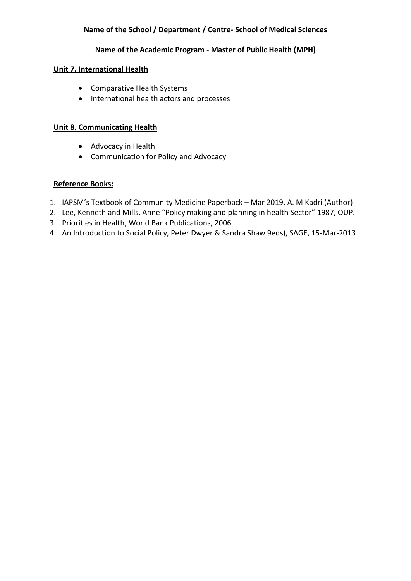#### **Name of the Academic Program - Master of Public Health (MPH)**

#### **Unit 7. International Health**

- Comparative Health Systems
- International health actors and processes

#### **Unit 8. Communicating Health**

- Advocacy in Health
- Communication for Policy and Advocacy

## **Reference Books:**

- 1. IAPSM's Textbook of Community Medicine Paperback Mar 2019, A. M Kadri (Author)
- 2. Lee, Kenneth and Mills, Anne "Policy making and planning in health Sector" 1987, OUP.
- 3. Priorities in Health, World Bank Publications, 2006
- 4. An Introduction to Social Policy, Peter Dwyer & Sandra Shaw 9eds), SAGE, 15-Mar-2013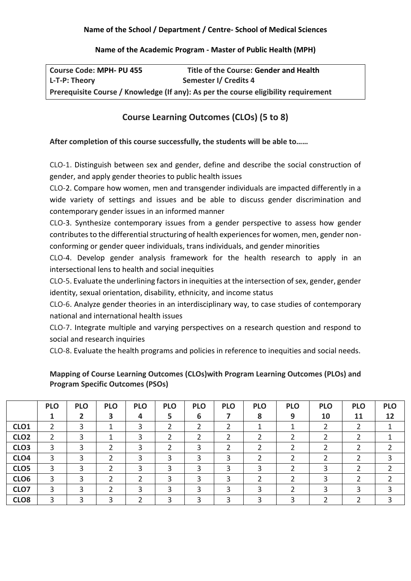#### **Name of the Academic Program - Master of Public Health (MPH)**

| <b>Course Code: MPH- PU 455</b> | Title of the Course: Gender and Health                                              |
|---------------------------------|-------------------------------------------------------------------------------------|
| L-T-P: Theory                   | Semester I/ Credits 4                                                               |
|                                 | Prerequisite Course / Knowledge (If any): As per the course eligibility requirement |

# **Course Learning Outcomes (CLOs) (5 to 8)**

# **After completion of this course successfully, the students will be able to……**

CLO-1. Distinguish between sex and gender, define and describe the social construction of gender, and apply gender theories to public health issues

CLO-2. Compare how women, men and transgender individuals are impacted differently in a wide variety of settings and issues and be able to discuss gender discrimination and contemporary gender issues in an informed manner

CLO-3. Synthesize contemporary issues from a gender perspective to assess how gender contributes to the differential structuring of health experiences for women, men, gender nonconforming or gender queer individuals, trans individuals, and gender minorities

CLO-4. Develop gender analysis framework for the health research to apply in an intersectional lens to health and social inequities

CLO-5. Evaluate the underlining factors in inequities at the intersection of sex, gender, gender identity, sexual orientation, disability, ethnicity, and income status

CLO-6. Analyze gender theories in an interdisciplinary way, to case studies of contemporary national and international health issues

CLO-7. Integrate multiple and varying perspectives on a research question and respond to social and research inquiries

CLO-8. Evaluate the health programs and policies in reference to inequities and social needs.

**Mapping of Course Learning Outcomes (CLOs)with Program Learning Outcomes (PLOs) and Program Specific Outcomes (PSOs)**

|                  | <b>PLO</b>    | <b>PLO</b> | <b>PLO</b> | <b>PLO</b> | <b>PLO</b> | <b>PLO</b> | <b>PLO</b> | <b>PLO</b> | <b>PLO</b> | <b>PLO</b> | <b>PLO</b> | <b>PLO</b> |
|------------------|---------------|------------|------------|------------|------------|------------|------------|------------|------------|------------|------------|------------|
|                  |               |            |            | 4          | 5          | 6          |            | 8          | 9          | 10         | 11         | 12         |
| CLO <sub>1</sub> |               |            |            | 3          |            |            |            |            |            |            |            |            |
| CLO <sub>2</sub> | $\mathcal{D}$ |            | ◀          | 3          |            |            | ∍          |            | ำ          |            |            |            |
| CLO <sub>3</sub> | 3             |            |            |            |            | 3          |            |            | ำ          |            |            |            |
| CLO <sub>4</sub> | 3             |            |            | 3          | 3          | 3          | 3          |            |            |            |            |            |
| CLO <sub>5</sub> | 3             |            | ำ          | 3          | 3          |            | 3          |            | ◠          |            |            |            |
| CLO <sub>6</sub> | 3             |            |            |            | 3          |            | 3          |            |            |            |            |            |
| CLO7             | 3             |            |            |            | 3          | 3          | 3          |            |            |            |            |            |
| CLO <sub>8</sub> | 3             |            |            |            |            |            |            |            |            |            |            |            |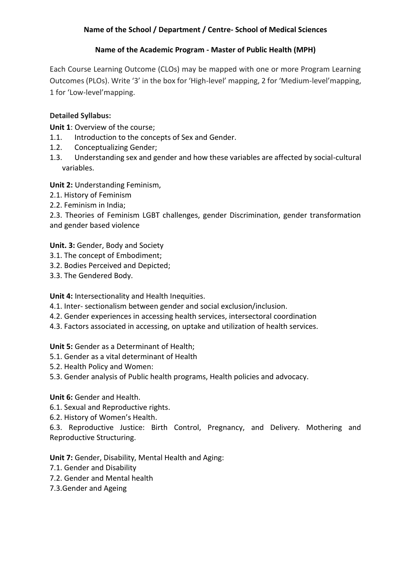## **Name of the Academic Program - Master of Public Health (MPH)**

Each Course Learning Outcome (CLOs) may be mapped with one or more Program Learning Outcomes (PLOs). Write '3' in the box for 'High-level' mapping, 2 for 'Medium-level'mapping, 1 for 'Low-level'mapping.

# **Detailed Syllabus:**

**Unit 1**: Overview of the course;

- 1.1. Introduction to the concepts of Sex and Gender.
- 1.2. Conceptualizing Gender;
- 1.3. Understanding sex and gender and how these variables are affected by social-cultural variables.

**Unit 2:** Understanding Feminism,

- 2.1. History of Feminism
- 2.2. Feminism in India;

2.3. Theories of Feminism LGBT challenges, gender Discrimination, gender transformation and gender based violence

**Unit. 3:** Gender, Body and Society

- 3.1. The concept of Embodiment;
- 3.2. Bodies Perceived and Depicted;
- 3.3. The Gendered Body.

**Unit 4:** Intersectionality and Health Inequities.

- 4.1. Inter- sectionalism between gender and social exclusion/inclusion.
- 4.2. Gender experiences in accessing health services, intersectoral coordination
- 4.3. Factors associated in accessing, on uptake and utilization of health services.

**Unit 5:** Gender as a Determinant of Health;

- 5.1. Gender as a vital determinant of Health
- 5.2. Health Policy and Women:
- 5.3. Gender analysis of Public health programs, Health policies and advocacy.

# **Unit 6:** Gender and Health.

- 6.1. Sexual and Reproductive rights.
- 6.2. History of Women's Health.

6.3. Reproductive Justice: Birth Control, Pregnancy, and Delivery. Mothering and Reproductive Structuring.

**Unit 7:** Gender, Disability, Mental Health and Aging:

- 7.1. Gender and Disability
- 7.2. Gender and Mental health
- 7.3.Gender and Ageing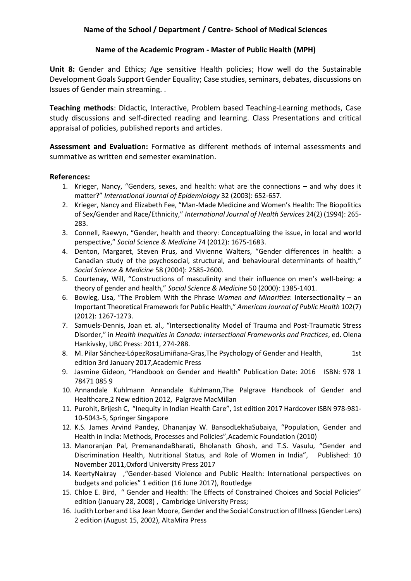#### **Name of the Academic Program - Master of Public Health (MPH)**

**Unit 8:** Gender and Ethics; Age sensitive Health policies; How well do the Sustainable Development Goals Support Gender Equality; Case studies, seminars, debates, discussions on Issues of Gender main streaming. .

**Teaching methods**: Didactic, Interactive, Problem based Teaching-Learning methods, Case study discussions and self-directed reading and learning. Class Presentations and critical appraisal of policies, published reports and articles.

**Assessment and Evaluation:** Formative as different methods of internal assessments and summative as written end semester examination.

#### **References:**

- 1. Krieger, Nancy, "Genders, sexes, and health: what are the connections and why does it matter?" *International Journal of Epidemiology* 32 (2003): 652-657.
- 2. Krieger, Nancy and Elizabeth Fee, "Man-Made Medicine and Women's Health: The Biopolitics of Sex/Gender and Race/Ethnicity," *International Journal of Health Services* 24(2) (1994): 265- 283.
- 3. Connell, Raewyn, "Gender, health and theory: Conceptualizing the issue, in local and world perspective," *Social Science & Medicine* 74 (2012): 1675-1683.
- 4. Denton, Margaret, Steven Prus, and Vivienne Walters, "Gender differences in health: a Canadian study of the psychosocial, structural, and behavioural determinants of health," *Social Science & Medicine* 58 (2004): 2585-2600.
- 5. Courtenay, Will, "Constructions of masculinity and their influence on men's well-being: a theory of gender and health," *Social Science & Medicine* 50 (2000): 1385-1401.
- 6. Bowleg, Lisa, "The Problem With the Phrase *Women and Minorities*: Intersectionality an Important Theoretical Framework for Public Health," *American Journal of Public Health* 102(7) (2012): 1267-1273.
- 7. Samuels-Dennis, Joan et. al., "Intersectionality Model of Trauma and Post-Traumatic Stress Disorder," in *Health Inequities in Canada: Intersectional Frameworks and Practices*, ed. Olena Hankivsky, UBC Press: 2011, 274-288.
- 8. M. Pilar Sánchez-LópezRosaLimiñana-Gras, The Psychology of Gender and Health, 1st edition 3rd January 2017,Academic Press
- 9. Jasmine Gideon, "Handbook on Gender and Health" Publication Date: 2016 ISBN: 978 1 78471 085 9
- 10. Annandale Kuhlmann Annandale Kuhlmann,The Palgrave Handbook of Gender and Healthcare,2 New edition 2012, Palgrave MacMillan
- 11. Purohit, Brijesh C, "Inequity in Indian Health Care", 1st edition 2017 Hardcover ISBN 978-981- 10-5043-5, Springer Singapore
- 12. K.S. James Arvind Pandey, Dhananjay W. BansodLekhaSubaiya, "Population, Gender and Health in India: Methods, Processes and Policies",Academic Foundation (2010)
- 13. Manoranjan Pal, PremanandaBharati, Bholanath Ghosh, and T.S. Vasulu, "Gender and Discrimination Health, Nutritional Status, and Role of Women in India", Published: 10 November 2011,Oxford University Press 2017
- 14. KeertyNakray ,"Gender-based Violence and Public Health: International perspectives on budgets and policies" 1 edition (16 June 2017), Routledge
- 15. Chloe E. Bird, " Gender and Health: The Effects of Constrained Choices and Social Policies" edition (January 28, 2008) , Cambridge University Press;
- 16. Judith Lorber and Lisa Jean Moore, Gender and the Social Construction of Illness (Gender Lens) 2 edition (August 15, 2002), AltaMira Press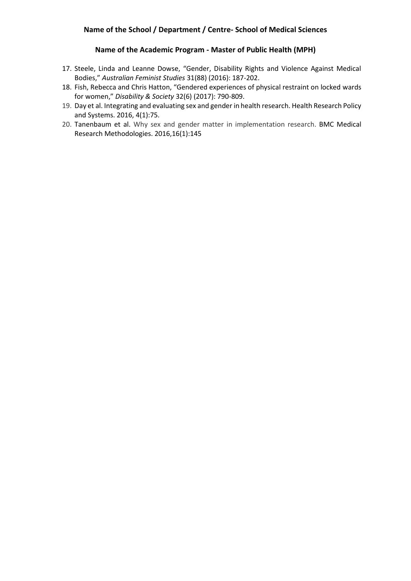#### **Name of the Academic Program - Master of Public Health (MPH)**

- 17. Steele, Linda and Leanne Dowse, "Gender, Disability Rights and Violence Against Medical Bodies," *Australian Feminist Studies* 31(88) (2016): 187-202.
- 18. Fish, Rebecca and Chris Hatton, "Gendered experiences of physical restraint on locked wards for women," *Disability & Society* 32(6) (2017): 790-809.
- 19. Day et al. Integrating and evaluating sex and gender in health research. Health Research Policy and Systems. 2016, 4(1):75.
- 20. Tanenbaum et al. Why sex and gender matter in implementation research. BMC Medical Research Methodologies. 2016,16(1):145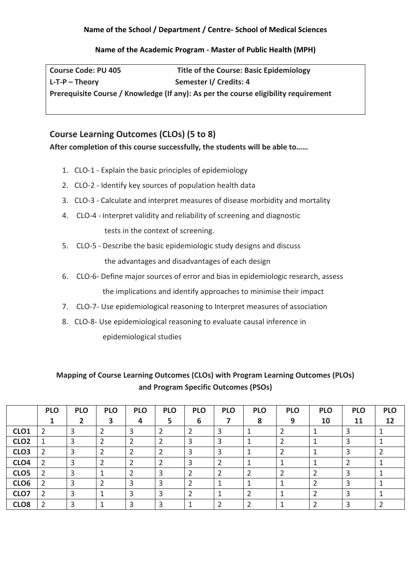## **Name of the Academic Program - Master of Public Health (MPH)**

**Course Code: PU 405 Title of the Course: Basic Epidemiology L-T-P – Theory Semester I/ Credits: 4 Prerequisite Course / Knowledge (If any): As per the course eligibility requirement**

# **Course Learning Outcomes (CLOs) (5 to 8)**

**After completion of this course successfully, the students will be able to……**

- 1. CLO-1 Explain the basic principles of epidemiology
- 2. CLO-2 Identify key sources of population health data
- 3. CLO-3 Calculate and interpret measures of disease morbidity and mortality
- 4. CLO-4 Interpret validity and reliability of screening and diagnostic tests in the context of screening.
- 5. CLO-5 Describe the basic epidemiologic study designs and discuss the advantages and disadvantages of each design
- 6. CLO-6- Define major sources of error and bias in epidemiologic research, assess the implications and identify approaches to minimise their impact
- 7. CLO-7- Use epidemiological reasoning to Interpret measures of association
- 8. CLO-8- Use epidemiological reasoning to evaluate causal inference in epidemiological studies

# **Mapping of Course Learning Outcomes (CLOs) with Program Learning Outcomes (PLOs) and Program Specific Outcomes (PSOs)**

|                  | <b>PLO</b> | <b>PLO</b> | <b>PLO</b> | <b>PLO</b> | <b>PLO</b> | <b>PLO</b> | <b>PLO</b> | <b>PLO</b> | <b>PLO</b> | <b>PLO</b> | <b>PLO</b> | <b>PLO</b> |
|------------------|------------|------------|------------|------------|------------|------------|------------|------------|------------|------------|------------|------------|
|                  |            |            | 3          | 4          | 5          | 6          |            | 8          | 9          | 10         | 11         | 12         |
| CLO <sub>1</sub> |            | 3          |            |            |            |            |            |            |            |            |            |            |
| CLO <sub>2</sub> |            | 3          |            |            |            | 3          |            |            |            |            | ∍          |            |
| CLO <sub>3</sub> |            | 3          |            |            |            | 3          | ∍          |            |            |            | ∍          |            |
| CLO <sub>4</sub> |            | っ<br>э     |            |            |            | ົ          |            |            |            |            |            |            |
| CLO5             |            | 3          |            |            |            |            |            |            |            |            |            |            |
| CLO6             |            | 3          |            |            |            |            |            |            |            |            | э          |            |
| CLO7             |            | 3          |            |            |            |            |            |            |            |            |            |            |
| CLO <sub>8</sub> |            | 3          |            |            |            |            |            |            |            |            |            |            |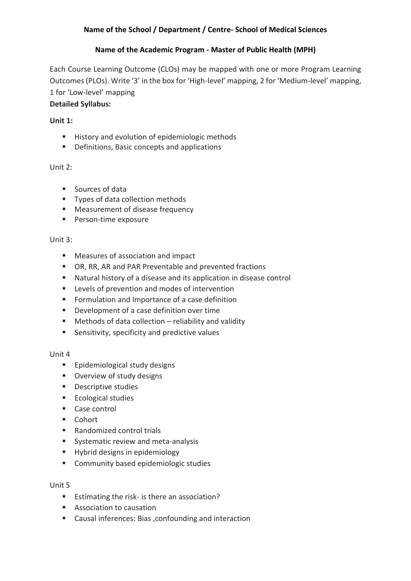# **Name of the Academic Program - Master of Public Health (MPH)**

Each Course Learning Outcome (CLOs) may be mapped with one or more Program Learning Outcomes (PLOs). Write '3' in the box for 'High-level' mapping, 2 for 'Medium-level' mapping, 1 for 'Low-level' mapping

# **Detailed Syllabus:**

## **Unit 1:**

- History and evolution of epidemiologic methods
- Definitions, Basic concepts and applications

# Unit 2:

- Sources of data
- Types of data collection methods
- Measurement of disease frequency
- Person-time exposure

## Unit 3:

- Measures of association and impact
- OR, RR, AR and PAR Preventable and prevented fractions
- Natural history of a disease and its application in disease control
- Levels of prevention and modes of intervention
- Formulation and Importance of a case definition
- Development of a case definition over time
- $\blacksquare$  Methods of data collection reliability and validity
- Sensitivity, specificity and predictive values

#### Unit 4

- Epidemiological study designs
- Overview of study designs
- Descriptive studies
- Ecological studies
- Case control
- Cohort
- Randomized control trials
- Systematic review and meta-analysis
- **E** Hybrid designs in epidemiology
- Community based epidemiologic studies

# Unit 5

- Estimating the risk- is there an association?
- Association to causation
- Causal inferences: Bias , confounding and interaction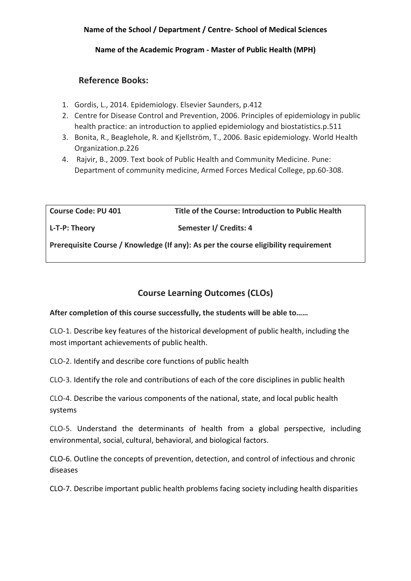#### **Name of the Academic Program - Master of Public Health (MPH)**

# **Reference Books:**

- 1. Gordis, L., 2014. Epidemiology. Elsevier Saunders, p.412
- 2. Centre for Disease Control and Prevention, 2006. Principles of epidemiology in public health practice: an introduction to applied epidemiology and biostatistics.p.511
- 3. Bonita, R., Beaglehole, R. and Kjellström, T., 2006. Basic epidemiology. World Health Organization.p.226
- 4. Rajvir, B., 2009. Text book of Public Health and Community Medicine. Pune: Department of community medicine, Armed Forces Medical College, pp.60-308.

**Course Code: PU 401 Title of the Course: Introduction to Public Health** 

L-T-P: Theory **Semester I** Credits: 4

**Prerequisite Course / Knowledge (If any): As per the course eligibility requirement**

# **Course Learning Outcomes (CLOs)**

**After completion of this course successfully, the students will be able to……**

CLO-1. Describe key features of the historical development of public health, including the most important achievements of public health.

CLO-2. Identify and describe core functions of public health

CLO-3. Identify the role and contributions of each of the core disciplines in public health

CLO-4. Describe the various components of the national, state, and local public health systems

CLO-5. Understand the determinants of health from a global perspective, including environmental, social, cultural, behavioral, and biological factors.

CLO-6. Outline the concepts of prevention, detection, and control of infectious and chronic diseases

CLO-7. Describe important public health problems facing society including health disparities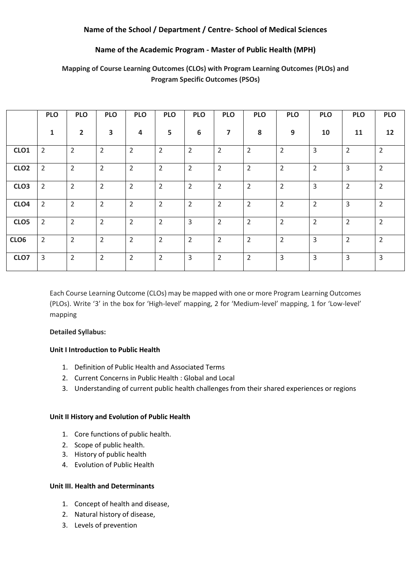#### **Name of the Academic Program - Master of Public Health (MPH)**

|                  | <b>PLO</b>     | <b>PLO</b>     | <b>PLO</b>     | <b>PLO</b>     | <b>PLO</b>     | <b>PLO</b>     | <b>PLO</b>              | <b>PLO</b>     | <b>PLO</b>     | <b>PLO</b>     | <b>PLO</b>     | <b>PLO</b>     |
|------------------|----------------|----------------|----------------|----------------|----------------|----------------|-------------------------|----------------|----------------|----------------|----------------|----------------|
|                  | $\mathbf{1}$   | $\overline{2}$ | 3              | 4              | 5              | 6              | $\overline{\mathbf{z}}$ | 8              | 9              | 10             | 11             | 12             |
| CLO <sub>1</sub> | $\overline{2}$ | $\overline{2}$ | $\overline{2}$ | $\overline{2}$ | $\overline{2}$ | $\overline{2}$ | $\overline{2}$          | $\overline{2}$ | $\overline{2}$ | $\overline{3}$ | 2              | $\overline{2}$ |
| CLO <sub>2</sub> | $\overline{2}$ | $\overline{2}$ | $\overline{2}$ | $\overline{2}$ | $\overline{2}$ | $\overline{2}$ | $\overline{2}$          | $\overline{2}$ | $\overline{2}$ | $\overline{2}$ | 3              | $\overline{2}$ |
| CLO <sub>3</sub> | $\overline{2}$ | $\overline{2}$ | $\overline{2}$ | $\overline{2}$ | $\overline{2}$ | $\overline{2}$ | $\overline{2}$          | $\overline{2}$ | $\overline{2}$ | $\overline{3}$ | $\overline{2}$ | $\overline{2}$ |
| CLO <sub>4</sub> | $\overline{2}$ | $\overline{2}$ | $\overline{2}$ | $\overline{2}$ | $\overline{2}$ | $\overline{2}$ | $\overline{2}$          | $\overline{2}$ | $\overline{2}$ | $\overline{2}$ | $\overline{3}$ | $\overline{2}$ |
| CLO <sub>5</sub> | $\overline{2}$ | $\overline{2}$ | $\overline{2}$ | $\overline{2}$ | $\overline{2}$ | 3              | $\overline{2}$          | $\overline{2}$ | $\overline{2}$ | $\overline{2}$ | $\overline{2}$ | $\overline{2}$ |
| CLO6             | $\overline{2}$ | $\overline{2}$ | $\overline{2}$ | $\overline{2}$ | $\overline{2}$ | $\overline{2}$ | 2                       | $\overline{2}$ | $\overline{2}$ | $\overline{3}$ | $\overline{2}$ | $\overline{2}$ |
| CLO7             | 3              | $\overline{2}$ | $\overline{2}$ | $\overline{2}$ | $\overline{2}$ | 3              | $\overline{2}$          | $\overline{2}$ | 3              | 3              | 3              | 3              |

# **Mapping of Course Learning Outcomes (CLOs) with Program Learning Outcomes (PLOs) and Program Specific Outcomes (PSOs)**

Each Course Learning Outcome (CLOs) may be mapped with one or more Program Learning Outcomes (PLOs). Write '3' in the box for 'High-level' mapping, 2 for 'Medium-level' mapping, 1 for 'Low-level' mapping

#### **Detailed Syllabus:**

#### **Unit I Introduction to Public Health**

- 1. Definition of Public Health and Associated Terms
- 2. Current Concerns in Public Health : Global and Local
- 3. Understanding of current public health challenges from their shared experiences or regions

#### **Unit II History and Evolution of Public Health**

- 1. Core functions of public health.
- 2. Scope of public health.
- 3. History of public health
- 4. Evolution of Public Health

#### **Unit III. Health and Determinants**

- 1. Concept of health and disease,
- 2. Natural history of disease,
- 3. Levels of prevention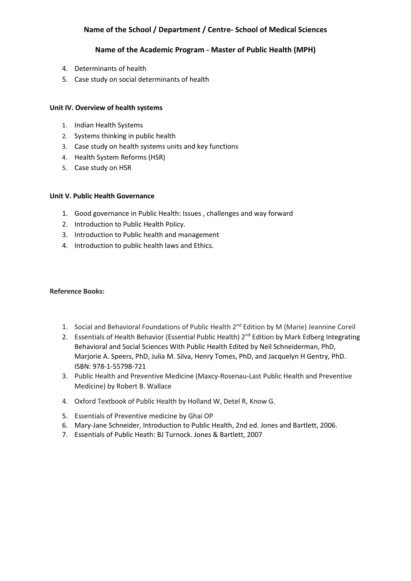#### **Name of the Academic Program - Master of Public Health (MPH)**

- 4. Determinants of health
- 5. Case study on social determinants of health

#### **Unit IV. Overview of health systems**

- 1. Indian Health Systems
- 2. Systems thinking in public health
- 3. Case study on health systems units and key functions
- 4. Health System Reforms (HSR)
- 5. Case study on HSR

#### **Unit V. Public Health Governance**

- 1. Good governance in Public Health: Issues , challenges and way forward
- 2. Introduction to Public Health Policy.
- 3. Introduction to Public health and management
- 4. Introduction to public health laws and Ethics.

#### **Reference Books:**

- 1. Social and Behavioral Foundations of Public Health 2<sup>nd</sup> Edition by M (Marie) Jeannine Coreil
- 2. Essentials of Health Behavior (Essential Public Health) 2<sup>nd</sup> Edition by Mark Edberg Integrating Behavioral and Social Sciences With Public Health Edited by Neil Schneiderman, PhD, Marjorie A. Speers, PhD, Julia M. Silva, Henry Tomes, PhD, and Jacquelyn H Gentry, PhD. ISBN: 978-1-55798-721
- 3. Public Health and Preventive Medicine (Maxcy-Rosenau-Last Public Health and Preventive Medicine) by Robert B. Wallace
- 4. Oxford Textbook of Public Health by Holland W, Detel R, Know G.
- 5. Essentials of Preventive medicine by Ghai OP
- 6. Mary-Jane Schneider, Introduction to Public Health, 2nd ed. Jones and Bartlett, 2006.
- 7. Essentials of Public Heath: BJ Turnock. Jones & Bartlett, 2007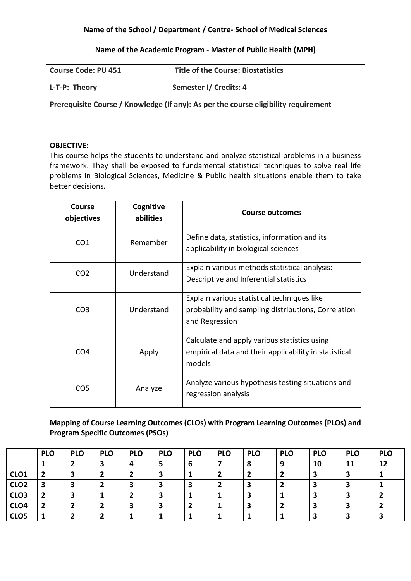#### **Name of the Academic Program - Master of Public Health (MPH)**

| <b>Course Code: PU 451</b> | <b>Title of the Course: Biostatistics</b>                                           |
|----------------------------|-------------------------------------------------------------------------------------|
| L-T-P: Theory              | Semester I/ Credits: 4                                                              |
|                            | Prerequisite Course / Knowledge (If any): As per the course eligibility requirement |

#### **OBJECTIVE:**

This course helps the students to understand and analyze statistical problems in a business framework. They shall be exposed to fundamental statistical techniques to solve real life problems in Biological Sciences, Medicine & Public health situations enable them to take better decisions.

| Course<br>objectives | Cognitive<br>abilities | Course outcomes                                                                                                      |
|----------------------|------------------------|----------------------------------------------------------------------------------------------------------------------|
| CO <sub>1</sub>      | Remember               | Define data, statistics, information and its<br>applicability in biological sciences                                 |
| CO <sub>2</sub>      | Understand             | Explain various methods statistical analysis:<br>Descriptive and Inferential statistics                              |
| CO <sub>3</sub>      | Understand             | Explain various statistical techniques like<br>probability and sampling distributions, Correlation<br>and Regression |
| CO <sub>4</sub>      | Apply                  | Calculate and apply various statistics using<br>empirical data and their applicability in statistical<br>models      |
| CO <sub>5</sub>      | Analyze                | Analyze various hypothesis testing situations and<br>regression analysis                                             |

# **Mapping of Course Learning Outcomes (CLOs) with Program Learning Outcomes (PLOs) and Program Specific Outcomes (PSOs)**

|                  | <b>PLO</b> | <b>PLO</b> | <b>PLO</b> | <b>PLO</b> | <b>PLO</b> | <b>PLO</b> | <b>PLO</b> | <b>PLO</b> | <b>PLO</b> | <b>PLO</b> | <b>PLO</b> | <b>PLO</b> |
|------------------|------------|------------|------------|------------|------------|------------|------------|------------|------------|------------|------------|------------|
|                  |            |            |            |            |            | ь          |            |            | 9          | 10         | 11         | 12         |
| CLO <sub>1</sub> |            | 3          |            |            |            |            |            |            |            |            |            |            |
| CLO <sub>2</sub> | 2          | З          |            |            |            |            |            |            |            |            |            |            |
| CLO <sub>3</sub> |            |            |            |            |            |            |            |            |            |            |            |            |
| CLO <sub>4</sub> | -2         | 2          |            |            |            |            |            |            |            |            |            |            |
| CLO <sub>5</sub> |            | ▴          |            |            |            |            |            |            |            |            |            |            |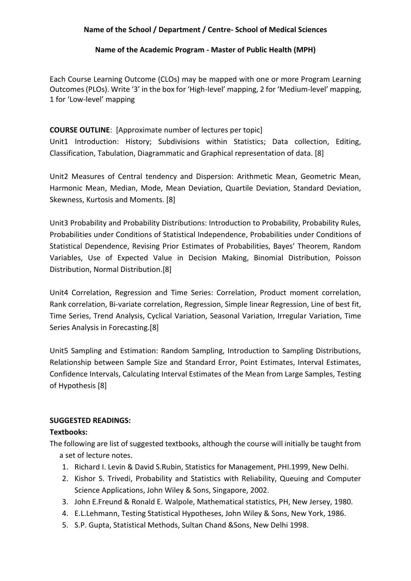#### **Name of the Academic Program - Master of Public Health (MPH)**

Each Course Learning Outcome (CLOs) may be mapped with one or more Program Learning Outcomes (PLOs). Write '3' in the box for 'High-level' mapping, 2 for 'Medium-level' mapping, 1 for 'Low-level' mapping

# **COURSE OUTLINE**: [Approximate number of lectures per topic]

Unit1 Introduction: History; Subdivisions within Statistics; Data collection, Editing, Classification, Tabulation, Diagrammatic and Graphical representation of data. [8]

Unit2 Measures of Central tendency and Dispersion: Arithmetic Mean, Geometric Mean, Harmonic Mean, Median, Mode, Mean Deviation, Quartile Deviation, Standard Deviation, Skewness, Kurtosis and Moments. [8]

Unit3 Probability and Probability Distributions: Introduction to Probability, Probability Rules, Probabilities under Conditions of Statistical Independence, Probabilities under Conditions of Statistical Dependence, Revising Prior Estimates of Probabilities, Bayes' Theorem, Random Variables, Use of Expected Value in Decision Making, Binomial Distribution, Poisson Distribution, Normal Distribution.[8]

Unit4 Correlation, Regression and Time Series: Correlation, Product moment correlation, Rank correlation, Bi-variate correlation, Regression, Simple linear Regression, Line of best fit, Time Series, Trend Analysis, Cyclical Variation, Seasonal Variation, Irregular Variation, Time Series Analysis in Forecasting.[8]

Unit5 Sampling and Estimation: Random Sampling, Introduction to Sampling Distributions, Relationship between Sample Size and Standard Error, Point Estimates, Interval Estimates, Confidence Intervals, Calculating Interval Estimates of the Mean from Large Samples, Testing of Hypothesis [8]

# **SUGGESTED READINGS:**

# **Textbooks:**

The following are list of suggested textbooks, although the course will initially be taught from a set of lecture notes.

- 1. Richard I. Levin & David S.Rubin, Statistics for Management, PHI.1999, New Delhi.
- 2. Kishor S. Trivedi, Probability and Statistics with Reliability, Queuing and Computer Science Applications, John Wiley & Sons, Singapore, 2002.
- 3. John E.Freund & Ronald E. Walpole, Mathematical statistics, PH, New Jersey, 1980.
- 4. E.L.Lehmann, Testing Statistical Hypotheses, John Wiley & Sons, New York, 1986.
- 5. S.P. Gupta, Statistical Methods, Sultan Chand &Sons, New Delhi 1998.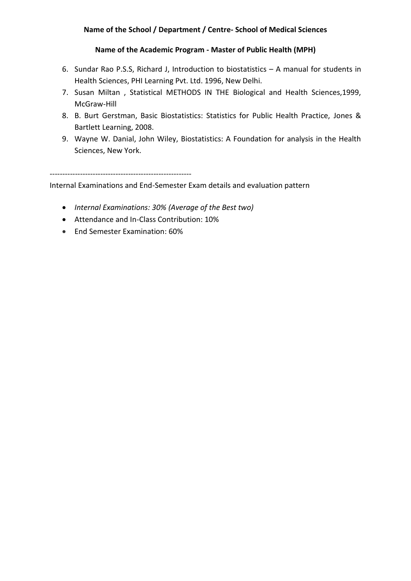## **Name of the Academic Program - Master of Public Health (MPH)**

- 6. Sundar Rao P.S.S, Richard J, Introduction to biostatistics A manual for students in Health Sciences, PHI Learning Pvt. Ltd. 1996, New Delhi.
- 7. Susan Miltan , Statistical METHODS IN THE Biological and Health Sciences,1999, McGraw-Hill
- 8. B. Burt Gerstman, Basic Biostatistics: Statistics for Public Health Practice, Jones & Bartlett Learning, 2008.
- 9. Wayne W. Danial, John Wiley, Biostatistics: A Foundation for analysis in the Health Sciences, New York.

--------------------------------------------------------

Internal Examinations and End-Semester Exam details and evaluation pattern

- *Internal Examinations: 30% (Average of the Best two)*
- Attendance and In-Class Contribution: 10%
- End Semester Examination: 60%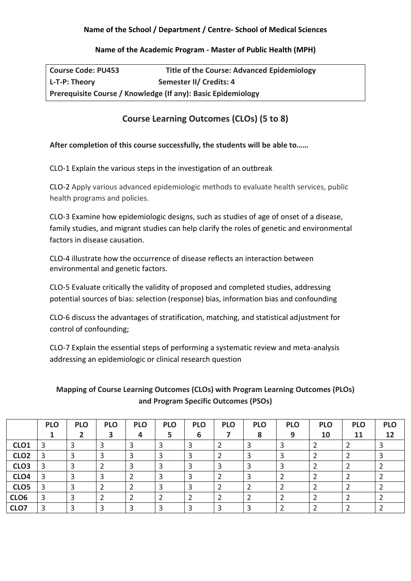### **Name of the Academic Program - Master of Public Health (MPH)**

| <b>Course Code: PU453</b> | <b>Title of the Course: Advanced Epidemiology</b>            |
|---------------------------|--------------------------------------------------------------|
| L-T-P: Theory             | Semester II/ Credits: 4                                      |
|                           | Prerequisite Course / Knowledge (If any): Basic Epidemiology |

# **Course Learning Outcomes (CLOs) (5 to 8)**

## **After completion of this course successfully, the students will be able to……**

CLO-1 Explain the various steps in the investigation of an outbreak

CLO-2 Apply various advanced epidemiologic methods to evaluate health services, public health programs and policies.

CLO-3 Examine how epidemiologic designs, such as studies of age of onset of a disease, family studies, and migrant studies can help clarify the roles of genetic and environmental factors in disease causation.

CLO-4 illustrate how the occurrence of disease reflects an interaction between environmental and genetic factors.

CLO-5 Evaluate critically the validity of proposed and completed studies, addressing potential sources of bias: selection (response) bias, information bias and confounding

CLO-6 discuss the advantages of stratification, matching, and statistical adjustment for control of confounding;

CLO-7 Explain the essential steps of performing a systematic review and meta-analysis addressing an epidemiologic or clinical research question

**Mapping of Course Learning Outcomes (CLOs) with Program Learning Outcomes (PLOs) and Program Specific Outcomes (PSOs)**

|                  | <b>PLO</b> | <b>PLO</b> | <b>PLO</b> | <b>PLO</b> | <b>PLO</b> | <b>PLO</b> | <b>PLO</b> | <b>PLO</b> | <b>PLO</b> | <b>PLO</b> | <b>PLO</b> | <b>PLO</b> |
|------------------|------------|------------|------------|------------|------------|------------|------------|------------|------------|------------|------------|------------|
|                  |            |            |            |            |            | b          |            | 8          | q          | 10         | 11         | 12         |
| CLO <sub>1</sub> |            |            |            |            |            |            |            |            |            |            |            |            |
| CLO <sub>2</sub> |            |            |            |            |            |            |            |            |            |            |            |            |
| CLO <sub>3</sub> |            |            |            |            |            |            |            |            |            |            |            |            |
| CLO <sub>4</sub> |            |            |            |            |            |            |            |            |            |            |            |            |
| CLO5             |            |            |            |            |            |            |            |            |            |            |            |            |
| CLO <sub>6</sub> |            | ာ          |            |            |            |            |            |            |            |            |            |            |
| CLO7             | з          |            |            |            |            |            |            |            |            |            |            |            |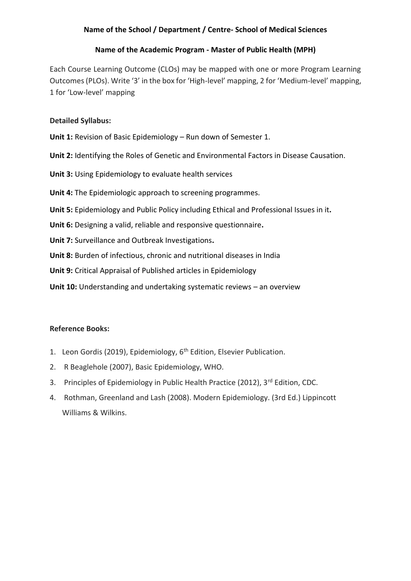# **Name of the Academic Program - Master of Public Health (MPH)**

Each Course Learning Outcome (CLOs) may be mapped with one or more Program Learning Outcomes (PLOs). Write '3' in the box for 'High-level' mapping, 2 for 'Medium-level' mapping, 1 for 'Low-level' mapping

## **Detailed Syllabus:**

**Unit 1:** Revision of Basic Epidemiology – Run down of Semester 1.

**Unit 2:** Identifying the Roles of Genetic and Environmental Factors in Disease Causation.

**Unit 3:** Using Epidemiology to evaluate health services

**Unit 4:** The Epidemiologic approach to screening programmes.

**Unit 5:** Epidemiology and Public Policy including Ethical and Professional Issues in it**.**

**Unit 6:** Designing a valid, reliable and responsive questionnaire**.**

**Unit 7:** Surveillance and Outbreak Investigations**.**

**Unit 8:** Burden of infectious, chronic and nutritional diseases in India

**Unit 9:** Critical Appraisal of Published articles in Epidemiology

**Unit 10:** Understanding and undertaking systematic reviews – an overview

#### **Reference Books:**

- 1. Leon Gordis (2019), Epidemiology, 6<sup>th</sup> Edition, Elsevier Publication.
- 2. R Beaglehole (2007), Basic Epidemiology, WHO.
- 3. Principles of Epidemiology in Public Health Practice (2012), 3rd Edition, CDC.
- 4. Rothman, Greenland and Lash (2008). Modern Epidemiology. (3rd Ed.) Lippincott Williams & Wilkins.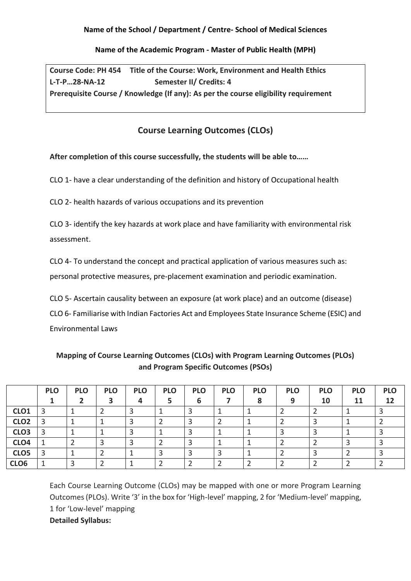## **Name of the Academic Program - Master of Public Health (MPH)**

**Course Code: PH 454 Title of the Course: Work, Environment and Health Ethics L-T-P…28-NA-12 Semester II/ Credits: 4 Prerequisite Course / Knowledge (If any): As per the course eligibility requirement**

# **Course Learning Outcomes (CLOs)**

**After completion of this course successfully, the students will be able to……**

CLO 1- have a clear understanding of the definition and history of Occupational health

CLO 2- health hazards of various occupations and its prevention

CLO 3- identify the key hazards at work place and have familiarity with environmental risk assessment.

CLO 4- To understand the concept and practical application of various measures such as: personal protective measures, pre-placement examination and periodic examination.

CLO 5- Ascertain causality between an exposure (at work place) and an outcome (disease) CLO 6- Familiarise with Indian Factories Act and Employees State Insurance Scheme (ESIC) and Environmental Laws

|                  | <b>PLO</b> | <b>PLO</b> | <b>PLO</b> | <b>PLO</b> | <b>PLO</b> | <b>PLO</b> | <b>PLO</b> | <b>PLO</b> | <b>PLO</b> | <b>PLO</b> | <b>PLO</b> | <b>PLO</b> |
|------------------|------------|------------|------------|------------|------------|------------|------------|------------|------------|------------|------------|------------|
|                  |            |            |            | 4          |            | 6          |            |            | 9          | 10         | 11         | 12         |
| CLO <sub>1</sub> | 3          |            |            |            |            |            |            |            |            |            |            |            |
| CLO <sub>2</sub> | 3          |            |            |            |            |            |            |            |            |            |            |            |
| CLO <sub>3</sub> | 3          |            |            |            |            |            |            |            |            |            |            |            |
| CLO <sub>4</sub> |            |            |            |            |            |            |            |            |            |            |            |            |
| CLO <sub>5</sub> | 3          |            |            |            |            |            |            |            |            |            |            |            |
| CLO <sub>6</sub> |            |            |            |            |            |            |            |            |            |            |            |            |

**Mapping of Course Learning Outcomes (CLOs) with Program Learning Outcomes (PLOs) and Program Specific Outcomes (PSOs)**

Each Course Learning Outcome (CLOs) may be mapped with one or more Program Learning Outcomes (PLOs). Write '3' in the box for 'High-level' mapping, 2 for 'Medium-level' mapping, 1 for 'Low-level' mapping **Detailed Syllabus:**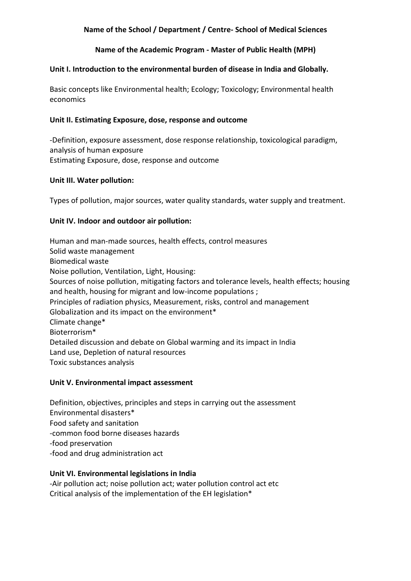### **Name of the Academic Program - Master of Public Health (MPH)**

#### **Unit I. Introduction to the environmental burden of disease in India and Globally.**

Basic concepts like Environmental health; Ecology; Toxicology; Environmental health economics

#### **Unit II. Estimating Exposure, dose, response and outcome**

-Definition, exposure assessment, dose response relationship, toxicological paradigm, analysis of human exposure Estimating Exposure, dose, response and outcome

#### **Unit III. Water pollution:**

Types of pollution, major sources, water quality standards, water supply and treatment.

#### **Unit IV. Indoor and outdoor air pollution:**

Human and man-made sources, health effects, control measures Solid waste management Biomedical waste Noise pollution, Ventilation, Light, Housing: Sources of noise pollution, mitigating factors and tolerance levels, health effects; housing and health, housing for migrant and low-income populations ; Principles of radiation physics, Measurement, risks, control and management Globalization and its impact on the environment\* Climate change\* Bioterrorism\* Detailed discussion and debate on Global warming and its impact in India Land use, Depletion of natural resources Toxic substances analysis

#### **Unit V. Environmental impact assessment**

Definition, objectives, principles and steps in carrying out the assessment Environmental disasters\* Food safety and sanitation -common food borne diseases hazards -food preservation -food and drug administration act

#### **Unit VI. Environmental legislations in India**

-Air pollution act; noise pollution act; water pollution control act etc Critical analysis of the implementation of the EH legislation\*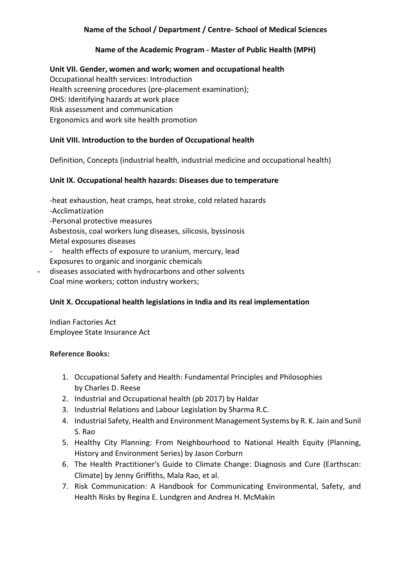# **Name of the Academic Program - Master of Public Health (MPH)**

**Unit VII. Gender, women and work; women and occupational health** Occupational health services: Introduction Health screening procedures (pre-placement examination); OHS: Identifying hazards at work place Risk assessment and communication Ergonomics and work site health promotion

# **Unit VIII. Introduction to the burden of Occupational health**

Definition, Concepts (industrial health, industrial medicine and occupational health)

# **Unit IX. Occupational health hazards: Diseases due to temperature**

-heat exhaustion, heat cramps, heat stroke, cold related hazards -Acclimatization -Personal protective measures Asbestosis, coal workers lung diseases, silicosis, byssinosis Metal exposures diseases health effects of exposure to uranium, mercury, lead Exposures to organic and inorganic chemicals diseases associated with hydrocarbons and other solvents Coal mine workers; cotton industry workers;

# **Unit X. Occupational health legislations in India and its real implementation**

Indian Factories Act Employee State Insurance Act

# **Reference Books:**

- 1. Occupational Safety and Health: Fundamental Principles and Philosophies by Charles D. Reese
- 2. Industrial and Occupational health (pb 2017) by Haldar
- 3. Industrial Relations and Labour Legislation by Sharma R.C.
- 4. Industrial Safety, Health and Environment Management Systems by R. K. Jain and Sunil S. Rao
- 5. Healthy City Planning: From Neighbourhood to National Health Equity (Planning, History and Environment Series) by Jason Corburn
- 6. The Health Practitioner's Guide to Climate Change: Diagnosis and Cure (Earthscan: Climate) by Jenny Griffiths, Mala Rao, et al.
- 7. Risk Communication: A Handbook for Communicating Environmental, Safety, and Health Risks by Regina E. Lundgren and Andrea H. McMakin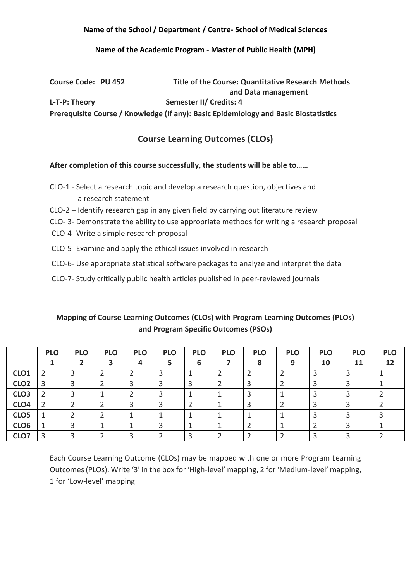### **Name of the Academic Program - Master of Public Health (MPH)**

| <b>Course Code: PU 452</b> | <b>Title of the Course: Quantitative Research Methods</b>                            |
|----------------------------|--------------------------------------------------------------------------------------|
|                            | and Data management                                                                  |
| L-T-P: Theory              | Semester II/ Credits: 4                                                              |
|                            | Prerequisite Course / Knowledge (If any): Basic Epidemiology and Basic Biostatistics |

# **Course Learning Outcomes (CLOs)**

## **After completion of this course successfully, the students will be able to……**

- CLO-1 Select a research topic and develop a research question, objectives and a research statement
- CLO-2 Identify research gap in any given field by carrying out literature review
- CLO- 3- Demonstrate the ability to use appropriate methods for writing a research proposal
- CLO-4 -Write a simple research proposal
- CLO-5 -Examine and apply the ethical issues involved in research
- CLO-6- Use appropriate statistical software packages to analyze and interpret the data
- CLO-7- Study critically public health articles published in peer-reviewed journals

# **Mapping of Course Learning Outcomes (CLOs) with Program Learning Outcomes (PLOs) and Program Specific Outcomes (PSOs)**

|                  | <b>PLO</b> | <b>PLO</b> | <b>PLO</b> | <b>PLO</b> | <b>PLO</b> | <b>PLO</b> | <b>PLO</b> | <b>PLO</b> | <b>PLO</b> | <b>PLO</b> | <b>PLO</b> | <b>PLO</b> |
|------------------|------------|------------|------------|------------|------------|------------|------------|------------|------------|------------|------------|------------|
|                  |            |            |            |            |            | 6          |            | 8          | 9          | 10         | 11         | 12         |
| CLO <sub>1</sub> |            | ີ          |            |            |            |            |            |            |            |            |            |            |
| CLO <sub>2</sub> |            |            |            |            |            |            |            |            |            |            |            |            |
| CLO <sub>3</sub> |            |            |            |            |            |            |            |            |            |            |            |            |
| CLO <sub>4</sub> |            |            |            |            |            |            |            |            |            |            |            |            |
| CLO <sub>5</sub> |            |            |            |            |            |            |            |            |            |            |            |            |
| CLO <sub>6</sub> |            |            |            |            |            |            |            |            |            |            |            |            |
| CLO7             |            | っ          |            |            |            |            |            |            |            |            |            |            |

Each Course Learning Outcome (CLOs) may be mapped with one or more Program Learning Outcomes (PLOs). Write '3' in the box for 'High-level' mapping, 2 for 'Medium-level' mapping, 1 for 'Low-level' mapping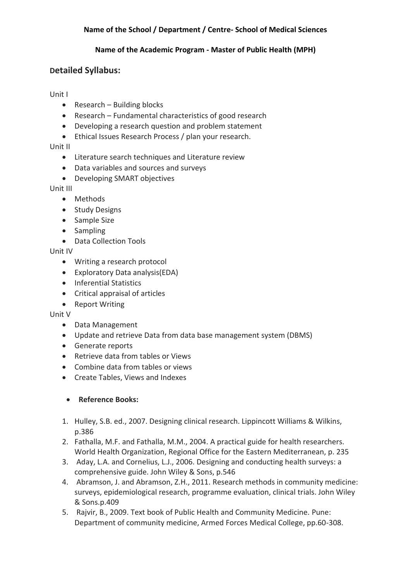## **Name of the Academic Program - Master of Public Health (MPH)**

# **Detailed Syllabus:**

## Unit I

- Research Building blocks
- Research Fundamental characteristics of good research
- Developing a research question and problem statement
- Ethical Issues Research Process / plan your research.

# Unit II

- Literature search techniques and Literature review
- Data variables and sources and surveys
- Developing SMART objectives

# Unit III

- Methods
- Study Designs
- Sample Size
- Sampling
- Data Collection Tools

# Unit IV

- Writing a research protocol
- Exploratory Data analysis(EDA)
- Inferential Statistics
- Critical appraisal of articles
- Report Writing

# Unit V

- Data Management
- Update and retrieve Data from data base management system (DBMS)
- Generate reports
- Retrieve data from tables or Views
- Combine data from tables or views
- Create Tables, Views and Indexes

# • **Reference Books:**

- 1. Hulley, S.B. ed., 2007. Designing clinical research. Lippincott Williams & Wilkins, p.386
- 2. Fathalla, M.F. and Fathalla, M.M., 2004. A practical guide for health researchers. World Health Organization, Regional Office for the Eastern Mediterranean, p. 235
- 3. Aday, L.A. and Cornelius, L.J., 2006. Designing and conducting health surveys: a comprehensive guide. John Wiley & Sons, p.546
- 4. Abramson, J. and Abramson, Z.H., 2011. Research methods in community medicine: surveys, epidemiological research, programme evaluation, clinical trials. John Wiley & Sons.p.409
- 5. Rajvir, B., 2009. Text book of Public Health and Community Medicine. Pune: Department of community medicine, Armed Forces Medical College, pp.60-308.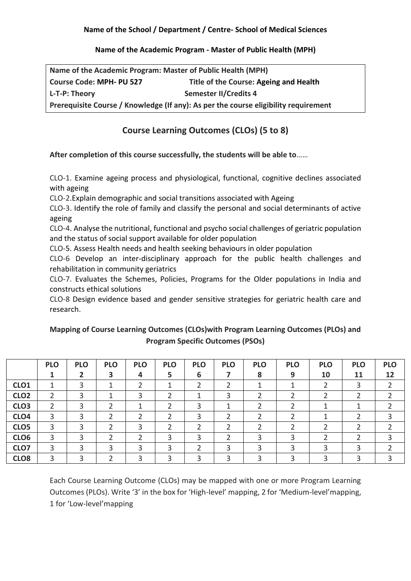#### **Name of the Academic Program - Master of Public Health (MPH)**

| Name of the Academic Program: Master of Public Health (MPH) |                                                                                     |
|-------------------------------------------------------------|-------------------------------------------------------------------------------------|
| <b>Course Code: MPH- PU 527</b>                             | Title of the Course: Ageing and Health                                              |
| L-T-P: Theory                                               | <b>Semester II/Credits 4</b>                                                        |
|                                                             | Prerequisite Course / Knowledge (If any): As per the course eligibility requirement |

# **Course Learning Outcomes (CLOs) (5 to 8)**

## **After completion of this course successfully, the students will be able to**……

CLO-1. Examine ageing process and physiological, functional, cognitive declines associated with ageing

CLO-2.Explain demographic and social transitions associated with Ageing

CLO-3. Identify the role of family and classify the personal and social determinants of active ageing

CLO-4. Analyse the nutritional, functional and psycho social challenges of geriatric population and the status of social support available for older population

CLO-5. Assess Health needs and health seeking behaviours in older population

CLO-6 Develop an inter-disciplinary approach for the public health challenges and rehabilitation in community geriatrics

CLO-7. Evaluates the Schemes, Policies, Programs for the Older populations in India and constructs ethical solutions

CLO-8 Design evidence based and gender sensitive strategies for geriatric health care and research.

# **Mapping of Course Learning Outcomes (CLOs)with Program Learning Outcomes (PLOs) and Program Specific Outcomes (PSOs)**

|                  | <b>PLO</b> | <b>PLO</b> | <b>PLO</b> | <b>PLO</b> | <b>PLO</b> | <b>PLO</b> | <b>PLO</b> | <b>PLO</b> | <b>PLO</b> | <b>PLO</b> | <b>PLO</b> | <b>PLO</b> |
|------------------|------------|------------|------------|------------|------------|------------|------------|------------|------------|------------|------------|------------|
|                  |            |            | 3          | 4          | 5          | 6          |            | 8          | 9          | 10         | 11         | 12         |
| CLO <sub>1</sub> |            | 3          |            |            |            | 2          |            |            |            |            |            |            |
| CLO <sub>2</sub> | ∠          | 3          |            |            |            |            | 3          |            |            |            |            |            |
| CLO <sub>3</sub> |            | 3.         |            |            |            |            |            |            |            |            |            |            |
| CLO <sub>4</sub> | 3          | 3          |            |            |            | っ          | ∍          |            |            |            |            |            |
| CLO5             | 3          | 3          |            |            |            |            | ำ          |            |            |            |            |            |
| CLO6             | 3          | 3          |            |            | 3          | 3          |            |            |            |            |            |            |
| CLO7             | 3          |            | っ          |            | 3          |            | 3          |            |            |            |            |            |
| CLO <sub>8</sub> | 3          |            |            |            | ς          |            | 3          |            |            |            |            |            |

Each Course Learning Outcome (CLOs) may be mapped with one or more Program Learning Outcomes (PLOs). Write '3' in the box for 'High-level' mapping, 2 for 'Medium-level'mapping, 1 for 'Low-level'mapping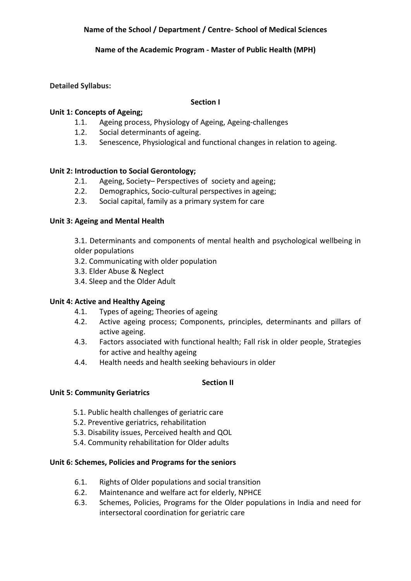## **Name of the Academic Program - Master of Public Health (MPH)**

## **Detailed Syllabus:**

#### **Section I**

## **Unit 1: Concepts of Ageing;**

- 1.1. Ageing process, Physiology of Ageing, Ageing-challenges
- 1.2. Social determinants of ageing.
- 1.3. Senescence, Physiological and functional changes in relation to ageing.

# **Unit 2: Introduction to Social Gerontology;**

- 2.1. Ageing, Society– Perspectives of society and ageing;
- 2.2. Demographics, Socio-cultural perspectives in ageing;
- 2.3. Social capital, family as a primary system for care

## **Unit 3: Ageing and Mental Health**

3.1. Determinants and components of mental health and psychological wellbeing in older populations

- 3.2. Communicating with older population
- 3.3. Elder Abuse & Neglect
- 3.4. Sleep and the Older Adult

# **Unit 4: Active and Healthy Ageing**

- 4.1. Types of ageing; Theories of ageing
- 4.2. Active ageing process; Components, principles, determinants and pillars of active ageing.
- 4.3. Factors associated with functional health; Fall risk in older people, Strategies for active and healthy ageing
- 4.4. Health needs and health seeking behaviours in older

#### **Section II**

#### **Unit 5: Community Geriatrics**

- 5.1. Public health challenges of geriatric care
- 5.2. Preventive geriatrics, rehabilitation
- 5.3. Disability issues, Perceived health and QOL
- 5.4. Community rehabilitation for Older adults

# **Unit 6: Schemes, Policies and Programs for the seniors**

- 6.1. Rights of Older populations and social transition
- 6.2. Maintenance and welfare act for elderly, NPHCE
- 6.3. Schemes, Policies, Programs for the Older populations in India and need for intersectoral coordination for geriatric care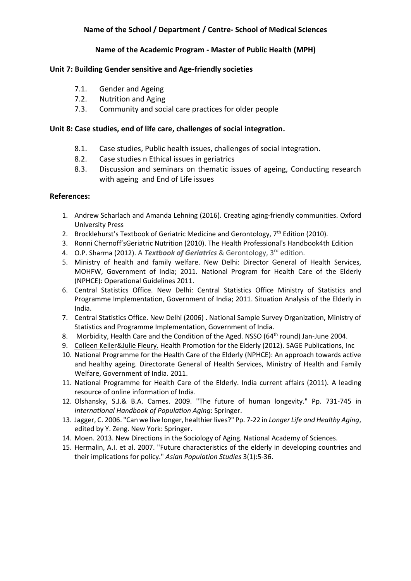#### **Name of the Academic Program - Master of Public Health (MPH)**

#### **Unit 7: Building Gender sensitive and Age-friendly societies**

- 7.1. Gender and Ageing
- 7.2. Nutrition and Aging
- 7.3. Community and social care practices for older people

#### **Unit 8: Case studies, end of life care, challenges of social integration.**

- 8.1. Case studies, Public health issues, challenges of social integration.
- 8.2. Case studies n Ethical issues in geriatrics
- 8.3. Discussion and seminars on thematic issues of ageing, Conducting research with ageing and End of Life issues

#### **References:**

- 1. Andrew Scharlach and Amanda Lehning (2016). Creating aging-friendly communities. Oxford University Press
- 2. Brocklehurst's Textbook of Geriatric Medicine and Gerontology, 7<sup>th</sup> Edition (2010).
- 3. Ronni Chernoff'sGeriatric Nutrition (2010). The Health Professional's Handbook4th Edition
- 4. O.P. Sharma (2012). A *Textbook of Geriatrics* & Gerontology, 3rd edition.
- 5. Ministry of health and family welfare. New Delhi: Director General of Health Services, MOHFW, Government of India; 2011. National Program for Health Care of the Elderly (NPHCE): Operational Guidelines 2011.
- 6. Central Statistics Office. New Delhi: Central Statistics Office Ministry of Statistics and Programme Implementation, Government of India; 2011. Situation Analysis of the Elderly in India.
- 7. Central Statistics Office. New Delhi (2006) . National Sample Survey Organization, Ministry of Statistics and Programme Implementation, Government of India.
- 8. Morbidity, Health Care and the Condition of the Aged. NSSO (64<sup>th</sup> round) Jan-June 2004.
- 9. [Colleen Keller&Julie Fleury.](javascript:void(0);) Health Promotion for the Elderly (2012). SAGE Publications, Inc
- 10. National Programme for the Health Care of the Elderly (NPHCE): An approach towards active and healthy ageing. Directorate General of Health Services, Ministry of Health and Family Welfare, Government of India. 2011.
- 11. National Programme for Health Care of the Elderly. India current affairs (2011). A leading resource of online information of India.
- 12. Olshansky, S.J.& B.A. Carnes. 2009. "The future of human longevity." Pp. 731-745 in *International Handbook of Population Aging*: Springer.
- 13. Jagger, C. 2006. "Can we live longer, healthier lives?" Pp. 7-22 in *Longer Life and Healthy Aging*, edited by Y. Zeng. New York: Springer.
- 14. Moen. 2013. New Directions in the Sociology of Aging. National Academy of Sciences.
- 15. Hermalin, A.I. et al. 2007. "Future characteristics of the elderly in developing countries and their implications for policy." *Asian Population Studies* 3(1):5-36.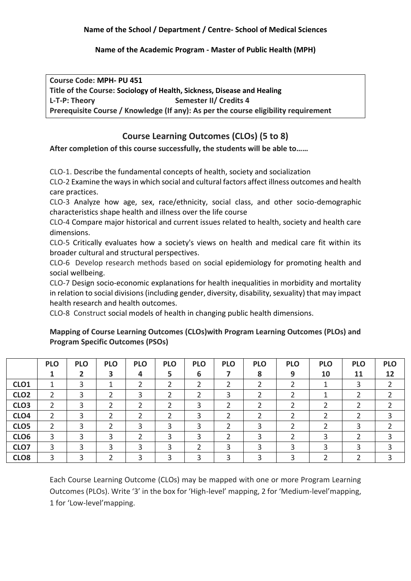**Name of the Academic Program - Master of Public Health (MPH)**

**Course Code: MPH- PU 451 Title of the Course: Sociology of Health, Sickness, Disease and Healing** L-T-P: Theory **Semester II** Credits 4 **Prerequisite Course / Knowledge (If any): As per the course eligibility requirement**

# **Course Learning Outcomes (CLOs) (5 to 8)**

# **After completion of this course successfully, the students will be able to……**

CLO-1. Describe the fundamental concepts of health, society and socialization

CLO-2 Examine the ways in which social and cultural factors affect illness outcomes and health care practices.

CLO-3 Analyze how age, sex, race/ethnicity, social class, and other socio-demographic characteristics shape health and illness over the life course

CLO-4 Compare major historical and current issues related to health, society and health care dimensions.

CLO-5 Critically evaluates how a society's views on health and medical care fit within its broader cultural and structural perspectives.

CLO-6 Develop research methods based on social epidemiology for promoting health and social wellbeing.

CLO-7 Design socio-economic explanations for health inequalities in morbidity and mortality in relation to social divisions (including gender, diversity, disability, sexuality) that may impact health research and health outcomes.

CLO-8 Construct social models of health in changing public health dimensions.

# **Mapping of Course Learning Outcomes (CLOs)with Program Learning Outcomes (PLOs) and Program Specific Outcomes (PSOs)**

|                  | <b>PLO</b> | <b>PLO</b> | <b>PLO</b> | <b>PLO</b> | <b>PLO</b> | <b>PLO</b> | <b>PLO</b> | <b>PLO</b> | <b>PLO</b> | <b>PLO</b> | <b>PLO</b> | <b>PLO</b> |
|------------------|------------|------------|------------|------------|------------|------------|------------|------------|------------|------------|------------|------------|
|                  |            |            | 3          |            | 5          | 6          |            | 8          | 9          | 10         | 11         | 12         |
| CLO <sub>1</sub> |            |            |            |            |            |            |            |            |            |            |            |            |
| CLO <sub>2</sub> | ำ          |            |            | っ          | ົ          |            | ς          |            |            |            |            |            |
| CLO <sub>3</sub> |            |            |            |            |            |            |            |            |            |            |            |            |
| CLO <sub>4</sub> | ำ          |            |            |            |            |            |            |            |            |            |            |            |
| CLO <sub>5</sub> |            |            |            | 3          | 3          | っ          |            | 3          |            |            |            |            |
| CLO <sub>6</sub> | 3          |            | 3          |            | ς          |            |            | っ          |            |            |            |            |
| CLO7             | 3          |            | 3          |            | 3          |            |            | 3          |            |            |            |            |
| CLO <sub>8</sub> | ς          |            |            | ำ          | っ          |            |            |            |            |            |            |            |

Each Course Learning Outcome (CLOs) may be mapped with one or more Program Learning Outcomes (PLOs). Write '3' in the box for 'High-level' mapping, 2 for 'Medium-level'mapping, 1 for 'Low-level'mapping.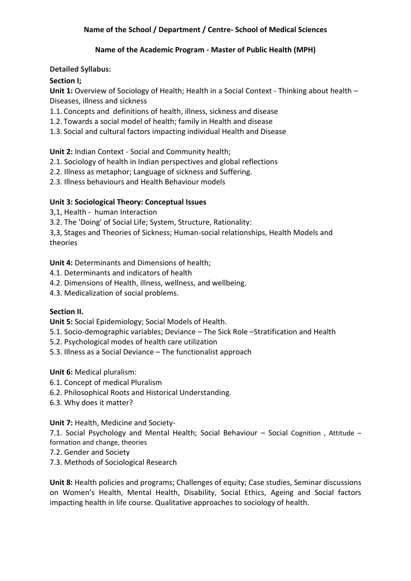## **Name of the Academic Program - Master of Public Health (MPH)**

## **Detailed Syllabus:**

# **Section I;**

**Unit 1:** Overview of Sociology of Health; Health in a Social Context - Thinking about health – Diseases, illness and sickness

- 1.1. Concepts and definitions of health, illness, sickness and disease
- 1.2. Towards a social model of health; family in Health and disease
- 1.3. Social and cultural factors impacting individual Health and Disease

# **Unit 2:** Indian Context - Social and Community health;

- 2.1. Sociology of health in Indian perspectives and global reflections
- 2.2. Illness as metaphor; Language of sickness and Suffering.
- 2.3. Illness behaviours and Health Behaviour models

## **Unit 3: Sociological Theory: Conceptual Issues**

3,1, Health - human Interaction

3.2. The 'Doing' of Social Life; System, Structure, Rationality:

3,3, Stages and Theories of Sickness; Human-social relationships, Health Models and theories

**Unit 4:** Determinants and Dimensions of health;

- 4.1. Determinants and indicators of health
- 4.2. Dimensions of Health, illness, wellness, and wellbeing.
- 4.3. Medicalization of social problems.

#### **Section II.**

**Unit 5:** Social Epidemiology; Social Models of Health.

- 5.1. Socio-demographic variables; Deviance The Sick Role –Stratification and Health
- 5.2. Psychological modes of health care utilization
- 5.3. Illness as a Social Deviance The functionalist approach

**Unit 6:** Medical pluralism:

- 6.1. Concept of medical Pluralism
- 6.2. Philosophical Roots and Historical Understanding.
- 6.3. Why does it matter?

**Unit 7:** Health, Medicine and Society-

7.1. Social Psychology and Mental Health; Social Behaviour – Social Cognition , Attitude – formation and change, theories

- 7.2. Gender and Society
- 7.3. Methods of Sociological Research

**Unit 8:** Health policies and programs; Challenges of equity; Case studies, Seminar discussions on Women's Health, Mental Health, Disability, Social Ethics, Ageing and Social factors impacting health in life course. Qualitative approaches to sociology of health.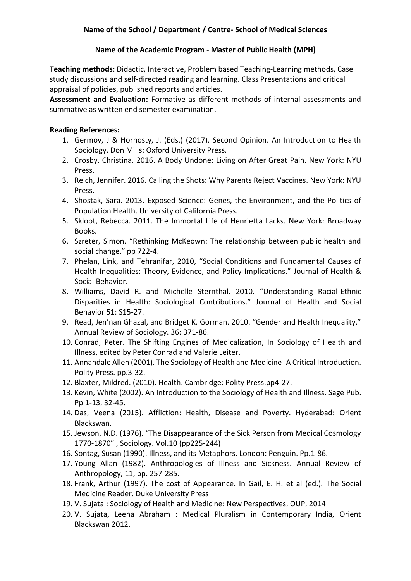## **Name of the Academic Program - Master of Public Health (MPH)**

**Teaching methods**: Didactic, Interactive, Problem based Teaching-Learning methods, Case study discussions and self-directed reading and learning. Class Presentations and critical appraisal of policies, published reports and articles.

**Assessment and Evaluation:** Formative as different methods of internal assessments and summative as written end semester examination.

## **Reading References:**

- 1. Germov, J & Hornosty, J. (Eds.) (2017). Second Opinion. An Introduction to Health Sociology. Don Mills: Oxford University Press.
- 2. Crosby, Christina. 2016. A Body Undone: Living on After Great Pain. New York: NYU Press.
- 3. Reich, Jennifer. 2016. Calling the Shots: Why Parents Reject Vaccines. New York: NYU Press.
- 4. Shostak, Sara. 2013. Exposed Science: Genes, the Environment, and the Politics of Population Health. University of California Press.
- 5. Skloot, Rebecca. 2011. The Immortal Life of Henrietta Lacks. New York: Broadway Books.
- 6. Szreter, Simon. "Rethinking McKeown: The relationship between public health and social change." pp 722-4.
- 7. Phelan, Link, and Tehranifar, 2010, "Social Conditions and Fundamental Causes of Health Inequalities: Theory, Evidence, and Policy Implications." Journal of Health & Social Behavior.
- 8. Williams, David R. and Michelle Sternthal. 2010. "Understanding Racial-Ethnic Disparities in Health: Sociological Contributions." Journal of Health and Social Behavior 51: S15-27.
- 9. Read, Jen'nan Ghazal, and Bridget K. Gorman. 2010. "Gender and Health Inequality." Annual Review of Sociology. 36: 371-86.
- 10. Conrad, Peter. The Shifting Engines of Medicalization, In Sociology of Health and Illness, edited by Peter Conrad and Valerie Leiter.
- 11. Annandale Allen (2001). The Sociology of Health and Medicine- A Critical Introduction. Polity Press. pp.3-32.
- 12. Blaxter, Mildred. (2010). Health. Cambridge: Polity Press.pp4-27.
- 13. Kevin, White (2002). An Introduction to the Sociology of Health and Illness. Sage Pub. Pp 1-13, 32-45.
- 14. Das, Veena (2015). Affliction: Health, Disease and Poverty. Hyderabad: Orient Blackswan.
- 15. Jewson, N.D. (1976). "The Disappearance of the Sick Person from Medical Cosmology 1770-1870" , Sociology. Vol.10 (pp225-244)
- 16. Sontag, Susan (1990). Illness, and its Metaphors. London: Penguin. Pp.1-86.
- 17. Young Allan (1982). Anthropologies of Illness and Sickness. Annual Review of Anthropology, 11, pp. 257-285.
- 18. Frank, Arthur (1997). The cost of Appearance. In Gail, E. H. et al (ed.). The Social Medicine Reader. Duke University Press
- 19. V. Sujata : Sociology of Health and Medicine: New Perspectives, OUP, 2014
- 20. V. Sujata, Leena Abraham : Medical Pluralism in Contemporary India, Orient Blackswan 2012.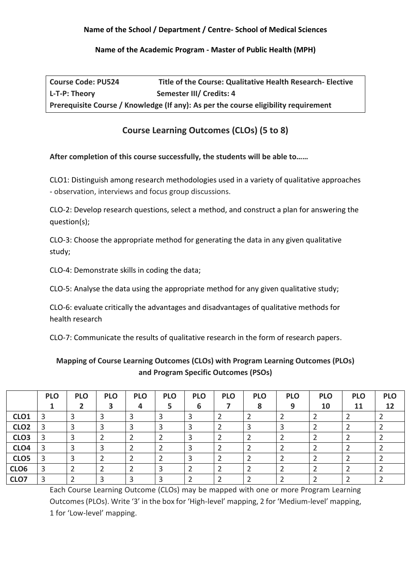### **Name of the Academic Program - Master of Public Health (MPH)**

| <b>Course Code: PU524</b> | Title of the Course: Qualitative Health Research- Elective                          |
|---------------------------|-------------------------------------------------------------------------------------|
| L-T-P: Theory             | Semester III/ Credits: 4                                                            |
|                           | Prerequisite Course / Knowledge (If any): As per the course eligibility requirement |

# **Course Learning Outcomes (CLOs) (5 to 8)**

## **After completion of this course successfully, the students will be able to……**

CLO1: Distinguish among research methodologies used in a variety of qualitative approaches - observation, interviews and focus group discussions.

CLO-2: Develop research questions, select a method, and construct a plan for answering the question(s);

CLO-3: Choose the appropriate method for generating the data in any given qualitative study;

CLO-4: Demonstrate skills in coding the data;

CLO-5: Analyse the data using the appropriate method for any given qualitative study;

CLO-6: evaluate critically the advantages and disadvantages of qualitative methods for health research

CLO-7: Communicate the results of qualitative research in the form of research papers.

# **Mapping of Course Learning Outcomes (CLOs) with Program Learning Outcomes (PLOs) and Program Specific Outcomes (PSOs)**

|                  | <b>PLO</b> | <b>PLO</b> | <b>PLO</b> | <b>PLO</b><br>4 | <b>PLO</b><br>ב | <b>PLO</b><br>6 | <b>PLO</b> | <b>PLO</b><br>8 | <b>PLO</b><br>9 | <b>PLO</b><br>10 | <b>PLO</b><br>11 | <b>PLO</b><br>12 |
|------------------|------------|------------|------------|-----------------|-----------------|-----------------|------------|-----------------|-----------------|------------------|------------------|------------------|
| CLO <sub>1</sub> | 3          |            |            |                 |                 |                 |            |                 |                 |                  |                  |                  |
| CLO <sub>2</sub> | -3         | っ          |            |                 |                 |                 |            |                 |                 |                  |                  |                  |
| CLO <sub>3</sub> | 3          | Э          |            |                 |                 |                 |            |                 |                 |                  |                  |                  |
| CLO <sub>4</sub> | 3          | 3          |            |                 |                 | っ               |            |                 |                 |                  |                  |                  |
| CLO <sub>5</sub> | 3          | っ          |            |                 |                 | っ               |            |                 |                 |                  |                  |                  |
| CLO <sub>6</sub> | 3          |            |            |                 |                 |                 |            |                 |                 |                  |                  |                  |
| CLO7             | 3          |            | っ          |                 |                 |                 |            |                 |                 |                  |                  |                  |

Each Course Learning Outcome (CLOs) may be mapped with one or more Program Learning Outcomes (PLOs). Write '3' in the box for 'High-level' mapping, 2 for 'Medium-level' mapping, 1 for 'Low-level' mapping.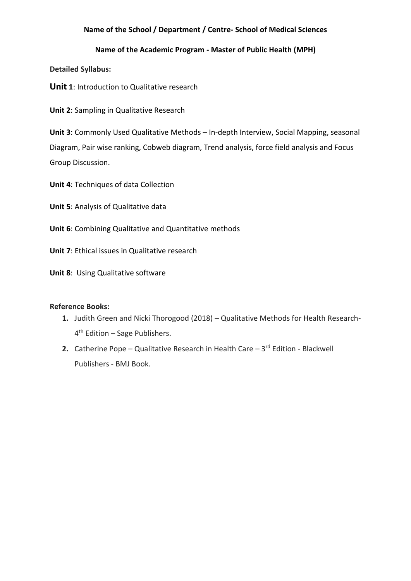## **Name of the Academic Program - Master of Public Health (MPH)**

**Detailed Syllabus:**

**Unit 1**: Introduction to Qualitative research

**Unit 2**: Sampling in Qualitative Research

**Unit 3**: Commonly Used Qualitative Methods – In-depth Interview, Social Mapping, seasonal Diagram, Pair wise ranking, Cobweb diagram, Trend analysis, force field analysis and Focus Group Discussion.

**Unit 4**: Techniques of data Collection

**Unit 5**: Analysis of Qualitative data

- **Unit 6**: Combining Qualitative and Quantitative methods
- **Unit 7**: Ethical issues in Qualitative research

**Unit 8**: Using Qualitative software

#### **Reference Books:**

- **1.** Judith Green and Nicki Thorogood (2018) Qualitative Methods for Health Research-4 th Edition – Sage Publishers.
- **2.** Catherine Pope Qualitative Research in Health Care 3<sup>rd</sup> Edition Blackwell Publishers - BMJ Book.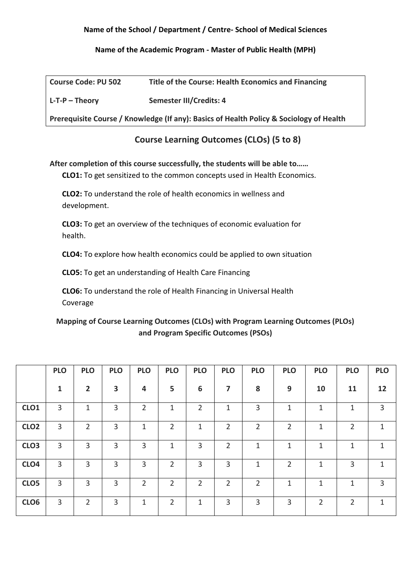**Name of the Academic Program - Master of Public Health (MPH)**

| <b>Course Code: PU 502</b> | Title of the Course: Health Economics and Financing                                     |
|----------------------------|-----------------------------------------------------------------------------------------|
| $L$ -T-P – Theory          | <b>Semester III/Credits: 4</b>                                                          |
|                            | Prerequisite Course / Knowledge (If any): Basics of Health Policy & Sociology of Health |

# **Course Learning Outcomes (CLOs) (5 to 8)**

**After completion of this course successfully, the students will be able to……**

**CLO1:** To get sensitized to the common concepts used in Health Economics.

**CLO2:** To understand the role of health economics in wellness and development.

**CLO3:** To get an overview of the techniques of economic evaluation for health.

**CLO4:** To explore how health economics could be applied to own situation

**CLO5:** To get an understanding of Health Care Financing

**CLO6:** To understand the role of Health Financing in Universal Health Coverage

**Mapping of Course Learning Outcomes (CLOs) with Program Learning Outcomes (PLOs) and Program Specific Outcomes (PSOs)** 

|                  | <b>PLO</b>     | <b>PLO</b>     | <b>PLO</b>     | <b>PLO</b>     | <b>PLO</b>     | <b>PLO</b>     | <b>PLO</b>              | <b>PLO</b>     | <b>PLO</b>     | <b>PLO</b>     | <b>PLO</b>     | <b>PLO</b>   |
|------------------|----------------|----------------|----------------|----------------|----------------|----------------|-------------------------|----------------|----------------|----------------|----------------|--------------|
|                  | $\mathbf{1}$   | $\overline{2}$ | 3              | 4              | 5              | 6              | $\overline{\mathbf{z}}$ | 8              | 9              | 10             | 11             | 12           |
| CLO <sub>1</sub> | 3              | 1              | 3              | $\overline{2}$ | 1              | $\overline{2}$ | $\mathbf 1$             | 3              | $\mathbf{1}$   | 1              | 1              | 3            |
| CLO <sub>2</sub> | 3              | $\overline{2}$ | 3              | 1              | 2              | $\mathbf 1$    | $\overline{2}$          | $\overline{2}$ | $\overline{2}$ | 1              | $\overline{2}$ | 1            |
| CLO <sub>3</sub> | 3              | 3              | 3              | 3              | 1              | 3              | $\overline{2}$          | 1              | 1              | 1              | 1              | $\mathbf{1}$ |
| CLO <sub>4</sub> | 3              | 3              | 3              | 3              | 2              | 3              | 3                       | 1              | $\overline{2}$ | 1              | 3              | 1            |
| CLO <sub>5</sub> | $\overline{3}$ | $\overline{3}$ | $\overline{3}$ | $\overline{2}$ | $\overline{2}$ | $\overline{2}$ | $\overline{2}$          | $\overline{2}$ | $\mathbf 1$    | $\mathbf{1}$   |                | 3            |
| CLO <sub>6</sub> | $\overline{3}$ | 2              | 3              | 1              | $\overline{2}$ | 1              | 3                       | 3              | 3              | $\overline{2}$ | $\overline{2}$ | 1            |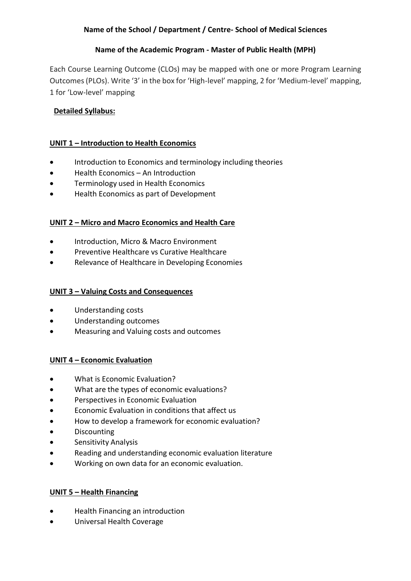# **Name of the Academic Program - Master of Public Health (MPH)**

Each Course Learning Outcome (CLOs) may be mapped with one or more Program Learning Outcomes (PLOs). Write '3' in the box for 'High-level' mapping, 2 for 'Medium-level' mapping, 1 for 'Low-level' mapping

# **Detailed Syllabus:**

## **UNIT 1 – Introduction to Health Economics**

- Introduction to Economics and terminology including theories
- Health Economics An Introduction
- Terminology used in Health Economics
- Health Economics as part of Development

## **UNIT 2 – Micro and Macro Economics and Health Care**

- Introduction, Micro & Macro Environment
- Preventive Healthcare vs Curative Healthcare
- Relevance of Healthcare in Developing Economies

#### **UNIT 3 – Valuing Costs and Consequences**

- Understanding costs
- Understanding outcomes
- Measuring and Valuing costs and outcomes

#### **UNIT 4 – Economic Evaluation**

- What is Economic Evaluation?
- What are the types of economic evaluations?
- Perspectives in Economic Evaluation
- Economic Evaluation in conditions that affect us
- How to develop a framework for economic evaluation?
- Discounting
- Sensitivity Analysis
- Reading and understanding economic evaluation literature
- Working on own data for an economic evaluation.

#### **UNIT 5 – Health Financing**

- Health Financing an introduction
- Universal Health Coverage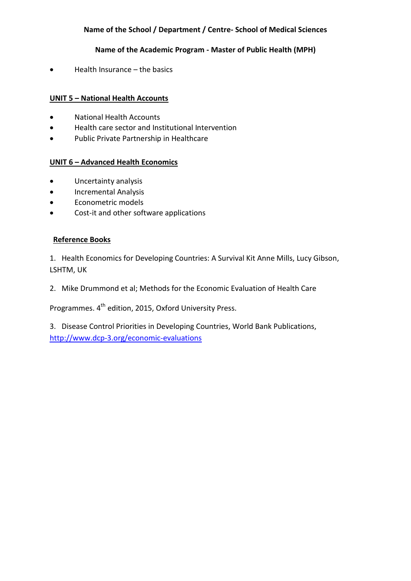# **Name of the Academic Program - Master of Public Health (MPH)**

• Health Insurance – the basics

## **UNIT 5 – National Health Accounts**

- National Health Accounts
- Health care sector and Institutional Intervention
- Public Private Partnership in Healthcare

#### **UNIT 6 – Advanced Health Economics**

- Uncertainty analysis
- Incremental Analysis
- Econometric models
- Cost-it and other software applications

## **Reference Books**

1. Health Economics for Developing Countries: A Survival Kit Anne Mills, Lucy Gibson, LSHTM, UK

2. Mike Drummond et al; Methods for the Economic Evaluation of Health Care

Programmes. 4<sup>th</sup> edition, 2015, Oxford University Press.

3. Disease Control Priorities in Developing Countries, World Bank Publications, <http://www.dcp-3.org/economic-evaluations>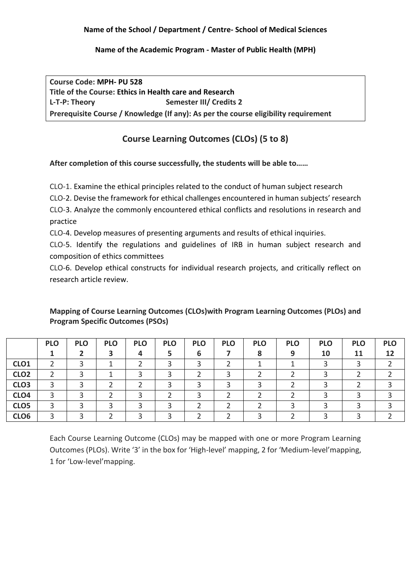## **Name of the Academic Program - Master of Public Health (MPH)**

**Course Code: MPH- PU 528 Title of the Course: Ethics in Health care and Research** L-T-P: Theory **Semester III/ Credits 2 Prerequisite Course / Knowledge (If any): As per the course eligibility requirement**

# **Course Learning Outcomes (CLOs) (5 to 8)**

**After completion of this course successfully, the students will be able to……**

CLO-1. Examine the ethical principles related to the conduct of human subject research

CLO-2. Devise the framework for ethical challenges encountered in human subjects' research CLO-3. Analyze the commonly encountered ethical conflicts and resolutions in research and practice

CLO-4. Develop measures of presenting arguments and results of ethical inquiries.

CLO-5. Identify the regulations and guidelines of IRB in human subject research and composition of ethics committees

CLO-6. Develop ethical constructs for individual research projects, and critically reflect on research article review.

|                  | <b>PLO</b> | <b>PLO</b> | <b>PLO</b> | <b>PLO</b> | <b>PLO</b> | <b>PLO</b> | <b>PLO</b> | <b>PLO</b> | <b>PLO</b> | <b>PLO</b> | <b>PLO</b> | <b>PLO</b> |
|------------------|------------|------------|------------|------------|------------|------------|------------|------------|------------|------------|------------|------------|
|                  |            |            | 3          | 4          |            | 6          |            | 8          | 9          | 10         | 11         | 12         |
| CLO <sub>1</sub> |            |            |            |            |            |            |            |            |            |            |            |            |
| CLO <sub>2</sub> |            |            |            |            |            |            |            |            |            |            |            |            |
| CLO <sub>3</sub> |            |            |            |            |            |            |            |            |            |            |            |            |
| CLO <sub>4</sub> |            |            |            |            |            |            |            |            |            |            |            |            |
| CLO <sub>5</sub> |            |            |            |            |            |            |            |            |            |            |            |            |
| CLO <sub>6</sub> |            |            |            |            |            |            |            |            |            |            |            |            |

# **Mapping of Course Learning Outcomes (CLOs)with Program Learning Outcomes (PLOs) and Program Specific Outcomes (PSOs)**

Each Course Learning Outcome (CLOs) may be mapped with one or more Program Learning Outcomes (PLOs). Write '3' in the box for 'High-level' mapping, 2 for 'Medium-level'mapping, 1 for 'Low-level'mapping.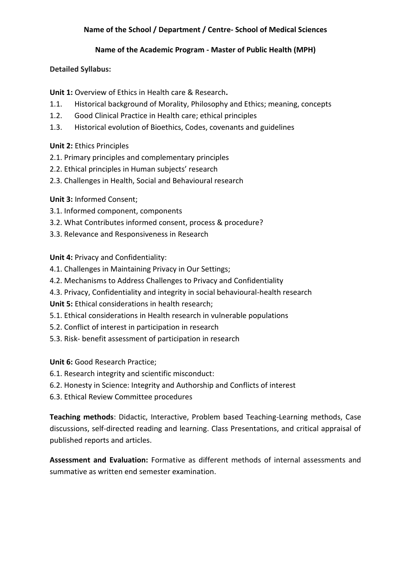## **Name of the Academic Program - Master of Public Health (MPH)**

## **Detailed Syllabus:**

**Unit 1:** Overview of Ethics in Health care & Research**.** 

- 1.1. Historical background of Morality, Philosophy and Ethics; meaning, concepts
- 1.2. Good Clinical Practice in Health care; ethical principles
- 1.3. Historical evolution of Bioethics, Codes, covenants and guidelines

# **Unit 2:** Ethics Principles

- 2.1. Primary principles and complementary principles
- 2.2. Ethical principles in Human subjects' research
- 2.3. Challenges in Health, Social and Behavioural research

# **Unit 3:** Informed Consent;

- 3.1. Informed component, components
- 3.2. What Contributes informed consent, process & procedure?
- 3.3. Relevance and Responsiveness in Research

**Unit 4:** Privacy and Confidentiality:

- 4.1. Challenges in Maintaining Privacy in Our Settings;
- 4.2. Mechanisms to Address Challenges to Privacy and Confidentiality
- 4.3. Privacy, Confidentiality and integrity in social behavioural-health research

**Unit 5:** Ethical considerations in health research;

- 5.1. Ethical considerations in Health research in vulnerable populations
- 5.2. Conflict of interest in participation in research
- 5.3. Risk- benefit assessment of participation in research

**Unit 6: Good Research Practice;** 

- 6.1. Research integrity and scientific misconduct:
- 6.2. Honesty in Science: Integrity and Authorship and Conflicts of interest
- 6.3. Ethical Review Committee procedures

**Teaching methods**: Didactic, Interactive, Problem based Teaching-Learning methods, Case discussions, self-directed reading and learning. Class Presentations, and critical appraisal of published reports and articles.

**Assessment and Evaluation:** Formative as different methods of internal assessments and summative as written end semester examination.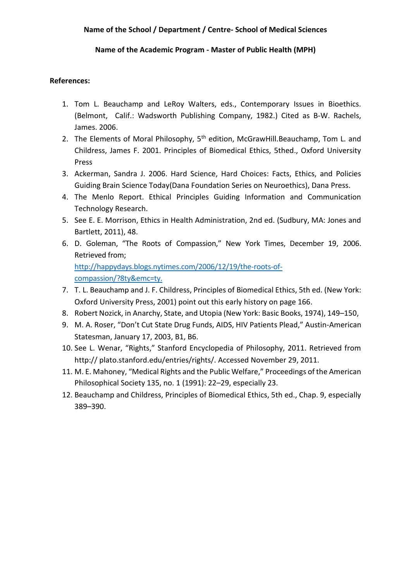## **Name of the Academic Program - Master of Public Health (MPH)**

## **References:**

- 1. Tom L. Beauchamp and LeRoy Walters, eds., Contemporary Issues in Bioethics. (Belmont, Calif.: Wadsworth Publishing Company, 1982.) Cited as B-W. Rachels, James. 2006.
- 2. The Elements of Moral Philosophy, 5<sup>th</sup> edition, McGrawHill.Beauchamp, Tom L. and Childress, James F. 2001. Principles of Biomedical Ethics, 5thed., Oxford University Press
- 3. Ackerman, Sandra J. 2006. Hard Science, Hard Choices: Facts, Ethics, and Policies Guiding Brain Science Today(Dana Foundation Series on Neuroethics), Dana Press.
- 4. The Menlo Report. Ethical Principles Guiding Information and Communication Technology Research.
- 5. See E. E. Morrison, Ethics in Health Administration, 2nd ed. (Sudbury, MA: Jones and Bartlett, 2011), 48.
- 6. D. Goleman, "The Roots of Compassion," New York Times, December 19, 2006. Retrieved from; [http://happydays.blogs.nytimes.com/2006/12/19/the-roots-of](http://happydays.blogs.nytimes.com/2006/12/19/the-roots-of-%20compassion/?8ty&emc=ty.%20)[compassion/?8ty&emc=ty.](http://happydays.blogs.nytimes.com/2006/12/19/the-roots-of-%20compassion/?8ty&emc=ty.%20)
- 7. T. L. Beauchamp and J. F. Childress, Principles of Biomedical Ethics, 5th ed. (New York: Oxford University Press, 2001) point out this early history on page 166.
- 8. Robert Nozick, in Anarchy, State, and Utopia (New York: Basic Books, 1974), 149–150,
- 9. M. A. Roser, "Don't Cut State Drug Funds, AIDS, HIV Patients Plead," Austin-American Statesman, January 17, 2003, B1, B6.
- 10. See L. Wenar, "Rights," Stanford Encyclopedia of Philosophy, 2011. Retrieved from http:// plato.stanford.edu/entries/rights/. Accessed November 29, 2011.
- 11. M. E. Mahoney, "Medical Rights and the Public Welfare," Proceedings of the American Philosophical Society 135, no. 1 (1991): 22–29, especially 23.
- 12. Beauchamp and Childress, Principles of Biomedical Ethics, 5th ed., Chap. 9, especially 389–390.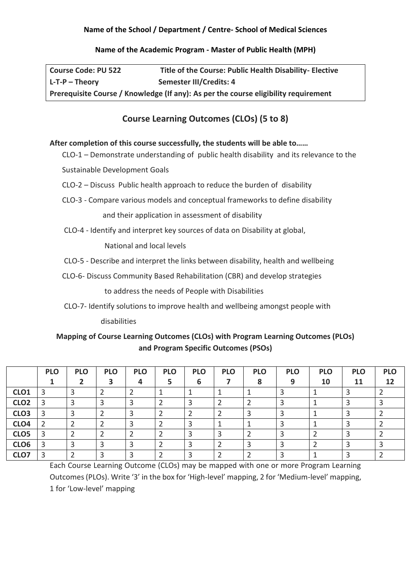### **Name of the Academic Program - Master of Public Health (MPH)**

| <b>Course Code: PU 522</b> | Title of the Course: Public Health Disability- Elective                             |
|----------------------------|-------------------------------------------------------------------------------------|
| $L-T-P - Theorv$           | Semester III/Credits: 4                                                             |
|                            | Prerequisite Course / Knowledge (If any): As per the course eligibility requirement |

# **Course Learning Outcomes (CLOs) (5 to 8)**

#### **After completion of this course successfully, the students will be able to……**

CLO-1 – Demonstrate understanding of public health disability and its relevance to the

Sustainable Development Goals

- CLO-2 Discuss Public health approach to reduce the burden of disability
- CLO-3 Compare various models and conceptual frameworks to define disability

and their application in assessment of disability

CLO-4 - Identify and interpret key sources of data on Disability at global,

National and local levels

- CLO-5 Describe and interpret the links between disability, health and wellbeing
- CLO-6- Discuss Community Based Rehabilitation (CBR) and develop strategies

to address the needs of People with Disabilities

CLO-7- Identify solutions to improve health and wellbeing amongst people with

disabilities

# **Mapping of Course Learning Outcomes (CLOs) with Program Learning Outcomes (PLOs) and Program Specific Outcomes (PSOs)**

|                  | <b>PLO</b> | <b>PLO</b> | <b>PLO</b><br>3 | <b>PLO</b><br>4 | <b>PLO</b> | <b>PLO</b><br>6 | <b>PLO</b> | <b>PLO</b><br>8 | <b>PLO</b><br>9 | <b>PLO</b><br>10 | <b>PLO</b><br>11 | <b>PLO</b><br>12 |
|------------------|------------|------------|-----------------|-----------------|------------|-----------------|------------|-----------------|-----------------|------------------|------------------|------------------|
| CLO <sub>1</sub> |            |            |                 |                 |            |                 |            |                 |                 |                  |                  |                  |
| CLO <sub>2</sub> |            |            |                 |                 |            |                 |            |                 |                 |                  |                  |                  |
| CLO <sub>3</sub> |            | っ          |                 |                 |            |                 |            |                 |                 |                  |                  |                  |
| CLO <sub>4</sub> |            |            |                 |                 |            |                 |            |                 |                 |                  |                  |                  |
| CLO <sub>5</sub> |            |            |                 |                 |            |                 |            |                 |                 |                  |                  |                  |
| CLO6             |            | 3          |                 |                 |            |                 |            |                 |                 |                  |                  |                  |
| CLO7             | 3          |            |                 |                 |            |                 |            |                 |                 |                  |                  |                  |

Each Course Learning Outcome (CLOs) may be mapped with one or more Program Learning Outcomes (PLOs). Write '3' in the box for 'High-level' mapping, 2 for 'Medium-level' mapping, 1 for 'Low-level' mapping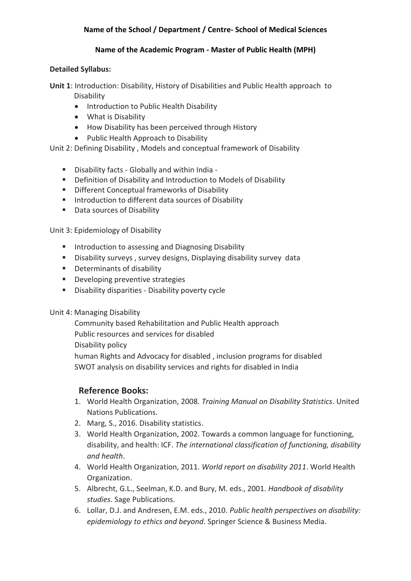#### **Name of the Academic Program - Master of Public Health (MPH)**

## **Detailed Syllabus:**

**Unit 1**: Introduction: Disability, History of Disabilities and Public Health approach to Disability

- Introduction to Public Health Disability
- What is Disability
- How Disability has been perceived through History
- Public Health Approach to Disability

# Unit 2: Defining Disability , Models and conceptual framework of Disability

- Disability facts Globally and within India -
- Definition of Disability and Introduction to Models of Disability
- Different Conceptual frameworks of Disability
- Introduction to different data sources of Disability
- Data sources of Disability

## Unit 3: Epidemiology of Disability

- Introduction to assessing and Diagnosing Disability
- Disability surveys, survey designs, Displaying disability survey data
- Determinants of disability
- Developing preventive strategies
- Disability disparities Disability poverty cycle

# Unit 4: Managing Disability

Community based Rehabilitation and Public Health approach Public resources and services for disabled Disability policy human Rights and Advocacy for disabled , inclusion programs for disabled SWOT analysis on disability services and rights for disabled in India

# **Reference Books:**

- 1. World Health Organization, 2008. *Training Manual on Disability Statistics*. United Nations Publications.
- 2. Marg, S., 2016. Disability statistics.
- 3. World Health Organization, 2002. Towards a common language for functioning, disability, and health: ICF. *The international classification of functioning, disability and health*.
- 4. World Health Organization, 2011. *World report on disability 2011*. World Health Organization.
- 5. Albrecht, G.L., Seelman, K.D. and Bury, M. eds., 2001. *Handbook of disability studies*. Sage Publications.
- 6. Lollar, D.J. and Andresen, E.M. eds., 2010. *Public health perspectives on disability: epidemiology to ethics and beyond*. Springer Science & Business Media.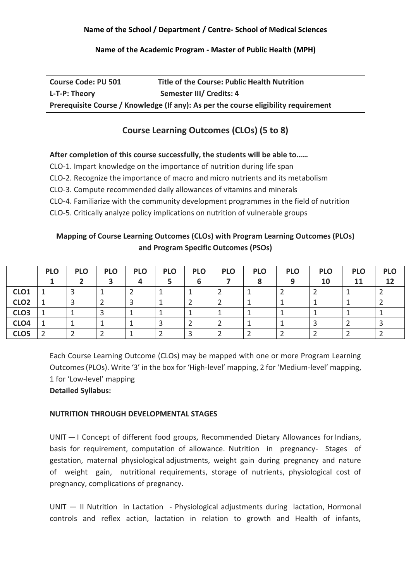#### **Name of the Academic Program - Master of Public Health (MPH)**

| <b>Course Code: PU 501</b>                                                          | <b>Title of the Course: Public Health Nutrition</b> |  |  |  |  |  |
|-------------------------------------------------------------------------------------|-----------------------------------------------------|--|--|--|--|--|
| L-T-P: Theory                                                                       | Semester III/ Credits: 4                            |  |  |  |  |  |
| Prerequisite Course / Knowledge (If any): As per the course eligibility requirement |                                                     |  |  |  |  |  |

# **Course Learning Outcomes (CLOs) (5 to 8)**

# **After completion of this course successfully, the students will be able to……**

- CLO-1. Impart knowledge on the importance of nutrition during life span
- CLO-2. Recognize the importance of macro and micro nutrients and its metabolism
- CLO-3. Compute recommended daily allowances of vitamins and minerals
- CLO-4. Familiarize with the community development programmes in the field of nutrition
- CLO-5. Critically analyze policy implications on nutrition of vulnerable groups

# **Mapping of Course Learning Outcomes (CLOs) with Program Learning Outcomes (PLOs) and Program Specific Outcomes (PSOs)**

|                  | <b>PLO</b> | <b>PLO</b> | <b>PLO</b> | <b>PLO</b> | <b>PLO</b> | <b>PLO</b> | <b>PLO</b> | <b>PLO</b> | <b>PLO</b> | <b>PLO</b> | <b>PLO</b> | <b>PLO</b> |
|------------------|------------|------------|------------|------------|------------|------------|------------|------------|------------|------------|------------|------------|
|                  |            |            |            | Δ          |            | b          |            |            | 9          | 10         | 11         | 12         |
| CLO <sub>1</sub> |            |            |            |            |            |            |            |            |            |            |            |            |
| CLO <sub>2</sub> |            |            |            |            |            |            |            |            |            |            |            |            |
| CLO <sub>3</sub> |            |            |            |            |            |            |            |            |            |            |            |            |
| CLO <sub>4</sub> |            |            |            |            |            |            |            |            |            |            |            |            |
| CLO <sub>5</sub> |            |            |            |            |            |            |            |            |            |            |            |            |

Each Course Learning Outcome (CLOs) may be mapped with one or more Program Learning Outcomes (PLOs). Write '3' in the box for 'High-level' mapping, 2 for 'Medium-level' mapping, 1 for 'Low-level' mapping **Detailed Syllabus:**

# **NUTRITION THROUGH DEVELOPMENTAL STAGES**

UNIT — I Concept of different food groups, Recommended Dietary Allowances for Indians, basis for requirement, computation of allowance. Nutrition in pregnancy- Stages of gestation, maternal physiological adjustments, weight gain during pregnancy and nature of weight gain, nutritional requirements, storage of nutrients, physiological cost of pregnancy, complications of pregnancy.

UNIT — II Nutrition in Lactation - Physiological adjustments during lactation, Hormonal controls and reflex action, lactation in relation to growth and Health of infants,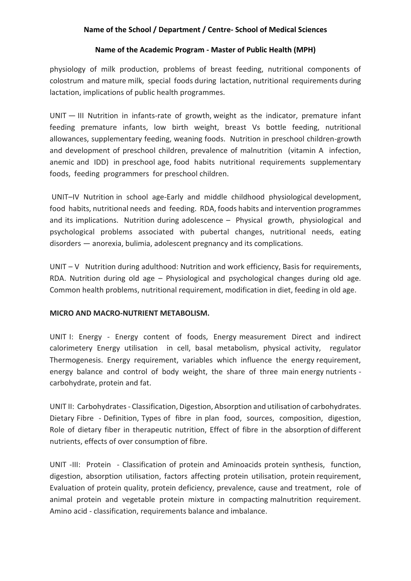#### **Name of the Academic Program - Master of Public Health (MPH)**

physiology of milk production, problems of breast feeding, nutritional components of colostrum and mature milk, special foods during lactation, nutritional requirements during lactation, implications of public health programmes.

UNIT — III Nutrition in infants-rate of growth, weight as the indicator, premature infant feeding premature infants, low birth weight, breast Vs bottle feeding, nutritional allowances, supplementary feeding, weaning foods. Nutrition in preschool children-growth and development of preschool children, prevalence of malnutrition (vitamin A infection, anemic and IDD) in preschool age, food habits nutritional requirements supplementary foods, feeding programmers for preschool children.

UNIT–IV Nutrition in school age-Early and middle childhood physiological development, food habits, nutritional needs and feeding. RDA, foods habits and intervention programmes and its implications. Nutrition during adolescence – Physical growth, physiological and psychological problems associated with pubertal changes, nutritional needs, eating disorders — anorexia, bulimia, adolescent pregnancy and its complications.

UNIT – V Nutrition during adulthood: Nutrition and work efficiency, Basis for requirements, RDA. Nutrition during old age – Physiological and psychological changes during old age. Common health problems, nutritional requirement, modification in diet, feeding in old age.

#### **MICRO AND MACRO-NUTRIENT METABOLISM.**

UNIT I: Energy - Energy content of foods, Energy measurement Direct and indirect calorimetery Energy utilisation in cell, basal metabolism, physical activity, regulator Thermogenesis. Energy requirement, variables which influence the energy requirement, energy balance and control of body weight, the share of three main energy nutrients carbohydrate, protein and fat.

UNIT II: Carbohydrates - Classification, Digestion, Absorption and utilisation of carbohydrates. Dietary Fibre - Definition, Types of fibre in plan food, sources, composition, digestion, Role of dietary fiber in therapeutic nutrition, Effect of fibre in the absorption of different nutrients, effects of over consumption of fibre.

UNIT -III: Protein - Classification of protein and Aminoacids protein synthesis, function, digestion, absorption utilisation, factors affecting protein utilisation, protein requirement, Evaluation of protein quality, protein deficiency, prevalence, cause and treatment, role of animal protein and vegetable protein mixture in compacting malnutrition requirement. Amino acid - classification, requirements balance and imbalance.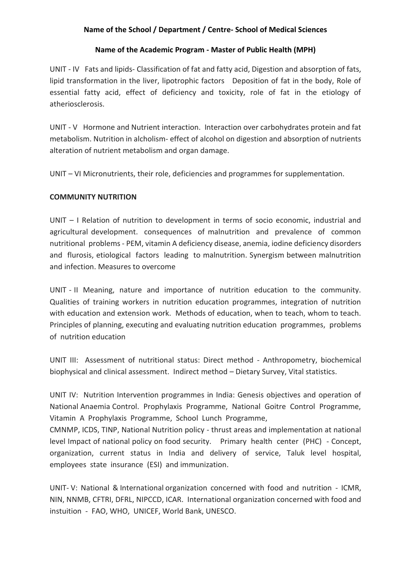#### **Name of the Academic Program - Master of Public Health (MPH)**

UNIT - IV Fats and lipids- Classification of fat and fatty acid, Digestion and absorption of fats, lipid transformation in the liver, lipotrophic factors Deposition of fat in the body, Role of essential fatty acid, effect of deficiency and toxicity, role of fat in the etiology of atheriosclerosis.

UNIT - V Hormone and Nutrient interaction. Interaction over carbohydrates protein and fat metabolism. Nutrition in alcholism- effect of alcohol on digestion and absorption of nutrients alteration of nutrient metabolism and organ damage.

UNIT – VI Micronutrients, their role, deficiencies and programmes for supplementation.

## **COMMUNITY NUTRITION**

UNIT – I Relation of nutrition to development in terms of socio economic, industrial and agricultural development. consequences of malnutrition and prevalence of common nutritional problems - PEM, vitamin A deficiency disease, anemia, iodine deficiency disorders and flurosis, etiological factors leading to malnutrition. Synergism between malnutrition and infection. Measures to overcome

UNIT - II Meaning, nature and importance of nutrition education to the community. Qualities of training workers in nutrition education programmes, integration of nutrition with education and extension work. Methods of education, when to teach, whom to teach. Principles of planning, executing and evaluating nutrition education programmes, problems of nutrition education

UNIT III: Assessment of nutritional status: Direct method - Anthropometry, biochemical biophysical and clinical assessment. Indirect method – Dietary Survey, Vital statistics.

UNIT IV: Nutrition Intervention programmes in India: Genesis objectives and operation of National Anaemia Control. Prophylaxis Programme, National Goitre Control Programme, Vitamin A Prophylaxis Programme, School Lunch Programme,

CMNMP, ICDS, TINP, National Nutrition policy - thrust areas and implementation at national level Impact of national policy on food security. Primary health center (PHC) - Concept, organization, current status in India and delivery of service, Taluk level hospital, employees state insurance (ESI) and immunization.

UNIT- V: National & International organization concerned with food and nutrition - ICMR, NIN, NNMB, CFTRI, DFRL, NIPCCD, ICAR. International organization concerned with food and instuition - FAO, WHO, UNICEF, World Bank, UNESCO.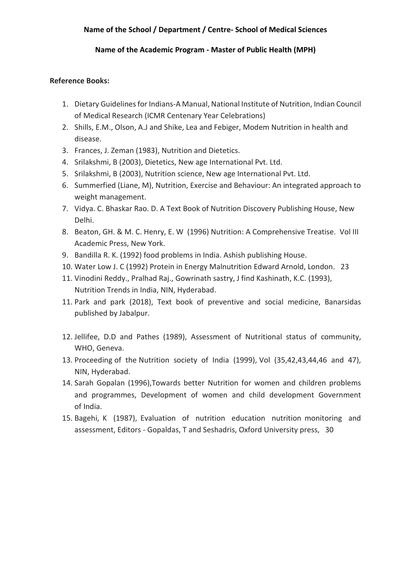#### **Name of the Academic Program - Master of Public Health (MPH)**

#### **Reference Books:**

- 1. Dietary Guidelines for Indians-A Manual, National Institute of Nutrition, Indian Council of Medical Research (ICMR Centenary Year Celebrations)
- 2. Shills, E.M., Olson, A.J and Shike, Lea and Febiger, Modem Nutrition in health and disease.
- 3. Frances, J. Zeman (1983), Nutrition and Dietetics.
- 4. Srilakshmi, B (2003), Dietetics, New age International Pvt. Ltd.
- 5. Srilakshmi, B (2003), Nutrition science, New age International Pvt. Ltd.
- 6. Summerfied (Liane, M), Nutrition, Exercise and Behaviour: An integrated approach to weight management.
- 7. Vidya. C. Bhaskar Rao. D. A Text Book of Nutrition Discovery Publishing House, New Delhi.
- 8. Beaton, GH. & M. C. Henry, E. W (1996) Nutrition: A Comprehensive Treatise. Vol III Academic Press, New York.
- 9. Bandilla R. K. (1992) food problems in India. Ashish publishing House.
- 10. Water Low J. C (1992) Protein in Energy Malnutrition Edward Arnold, London. 23
- 11. Vinodini Reddy., Pralhad Raj., Gowrinath sastry, J find Kashinath, K.C. (1993), Nutrition Trends in India, NIN, Hyderabad.
- 11. Park and park (2018), Text book of preventive and social medicine, Banarsidas published by Jabalpur.
- 12. Jellifee, D.D and Pathes (1989), Assessment of Nutritional status of community, WHO, Geneva.
- 13. Proceeding of the Nutrition society of India (1999), Vol (35,42,43,44,46 and 47), NIN, Hyderabad.
- 14. Sarah Gopalan (1996),Towards better Nutrition for women and children problems and programmes, Development of women and child development Government of India.
- 15. Bagehi, K (1987), Evaluation of nutrition education nutrition monitoring and assessment, Editors - Gopaldas, T and Seshadris, Oxford University press, 30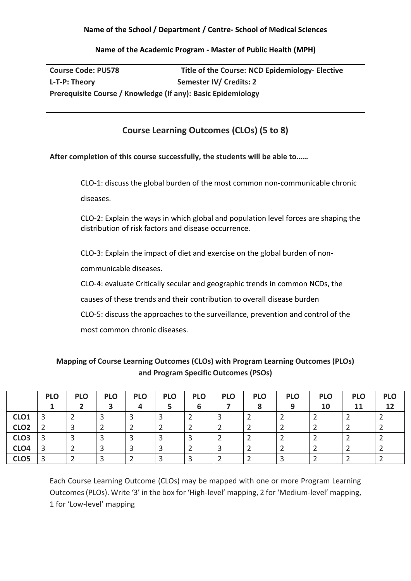#### **Name of the Academic Program - Master of Public Health (MPH)**

**Course Code: PU578 Title of the Course: NCD Epidemiology- Elective** L-T-P: Theory Semester IV/ Credits: 2 **Prerequisite Course / Knowledge (If any): Basic Epidemiology**

# **Course Learning Outcomes (CLOs) (5 to 8)**

## **After completion of this course successfully, the students will be able to……**

CLO-1: discuss the global burden of the most common non-communicable chronic diseases.

CLO-2: Explain the ways in which global and population level forces are shaping the distribution of risk factors and disease occurrence.

CLO-3: Explain the impact of diet and exercise on the global burden of noncommunicable diseases.

CLO-4: evaluate Critically secular and geographic trends in common NCDs, the

causes of these trends and their contribution to overall disease burden

CLO-5: discuss the approaches to the surveillance, prevention and control of the

most common chronic diseases.

# **Mapping of Course Learning Outcomes (CLOs) with Program Learning Outcomes (PLOs) and Program Specific Outcomes (PSOs)**

|                  | <b>PLO</b> | <b>PLO</b> | <b>PLO</b> | <b>PLO</b> | <b>PLO</b> | <b>PLO</b> | <b>PLO</b> | <b>PLO</b> | <b>PLO</b> | <b>PLO</b> | <b>PLO</b> | <b>PLO</b> |
|------------------|------------|------------|------------|------------|------------|------------|------------|------------|------------|------------|------------|------------|
|                  |            |            |            | 4          |            | 6          |            |            | $\Omega$   | 10         | 11         | 12         |
| CLO <sub>1</sub> | 3          |            |            |            |            |            |            |            |            |            |            |            |
| CLO <sub>2</sub> |            |            |            |            |            |            |            |            |            |            |            |            |
| CLO <sub>3</sub> | 3          |            |            |            |            |            |            |            |            |            |            |            |
| CLO <sub>4</sub> | 3          |            |            |            |            |            |            |            |            |            |            |            |
| CLO <sub>5</sub> | 3          |            |            |            | っ          |            |            |            |            |            |            |            |

Each Course Learning Outcome (CLOs) may be mapped with one or more Program Learning Outcomes (PLOs). Write '3' in the box for 'High-level' mapping, 2 for 'Medium-level' mapping, 1 for 'Low-level' mapping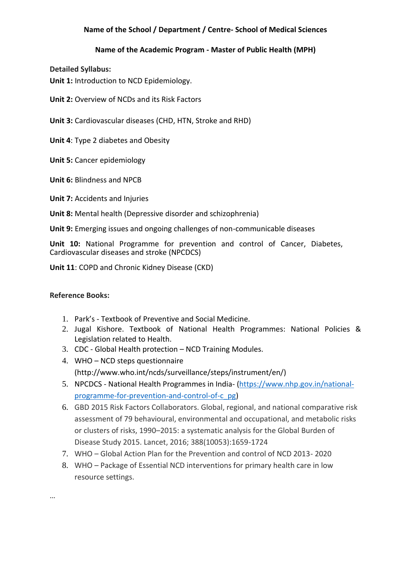## **Name of the Academic Program - Master of Public Health (MPH)**

**Detailed Syllabus:**

**Unit 1:** Introduction to NCD Epidemiology.

**Unit 2:** Overview of NCDs and its Risk Factors

**Unit 3:** Cardiovascular diseases (CHD, HTN, Stroke and RHD)

**Unit 4**: Type 2 diabetes and Obesity

**Unit 5:** Cancer epidemiology

**Unit 6:** Blindness and NPCB

**Unit 7: Accidents and Injuries** 

**Unit 8:** Mental health (Depressive disorder and schizophrenia)

**Unit 9:** Emerging issues and ongoing challenges of non-communicable diseases

**Unit 10:** National Programme for prevention and control of Cancer, Diabetes, Cardiovascular diseases and stroke (NPCDCS)

**Unit 11**: COPD and Chronic Kidney Disease (CKD)

#### **Reference Books:**

- 1. Park's Textbook of Preventive and Social Medicine.
- 2. Jugal Kishore. Textbook of National Health Programmes: National Policies & Legislation related to Health.
- 3. CDC Global Health protection NCD Training Modules.
- 4. WHO NCD steps questionnaire (http://www.who.int/ncds/surveillance/steps/instrument/en/)
- 5. NPCDCS National Health Programmes in India- [\(https://www.nhp.gov.in/national](https://www.nhp.gov.in/national-programme-for-prevention-and-control-of-c_pg)[programme-for-prevention-and-control-of-c\\_pg\)](https://www.nhp.gov.in/national-programme-for-prevention-and-control-of-c_pg)
- 6. GBD 2015 Risk Factors Collaborators. Global, regional, and national comparative risk assessment of 79 behavioural, environmental and occupational, and metabolic risks or clusters of risks, 1990–2015: a systematic analysis for the Global Burden of Disease Study 2015. Lancet, 2016; 388(10053):1659-1724
- 7. WHO Global Action Plan for the Prevention and control of NCD 2013- 2020
- 8. WHO Package of Essential NCD interventions for primary health care in low resource settings.

…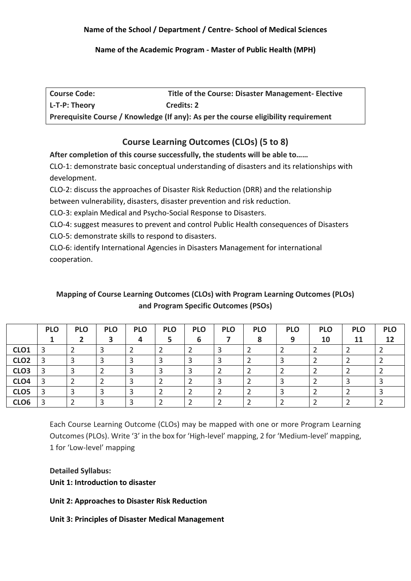#### **Name of the Academic Program - Master of Public Health (MPH)**

| <b>Course Code:</b> | Title of the Course: Disaster Management- Elective                                  |
|---------------------|-------------------------------------------------------------------------------------|
| L-T-P: Theory       | <b>Credits: 2</b>                                                                   |
|                     | Prerequisite Course / Knowledge (If any): As per the course eligibility requirement |

# **Course Learning Outcomes (CLOs) (5 to 8)**

**After completion of this course successfully, the students will be able to……**

CLO-1: demonstrate basic conceptual understanding of disasters and its relationships with development.

CLO-2: discuss the approaches of Disaster Risk Reduction (DRR) and the relationship

between vulnerability, disasters, disaster prevention and risk reduction.

CLO-3: explain Medical and Psycho-Social Response to Disasters.

CLO-4: suggest measures to prevent and control Public Health consequences of Disasters CLO-5: demonstrate skills to respond to disasters.

CLO-6: identify International Agencies in Disasters Management for international cooperation.

# **Mapping of Course Learning Outcomes (CLOs) with Program Learning Outcomes (PLOs) and Program Specific Outcomes (PSOs)**

|                  | <b>PLO</b> | <b>PLO</b> | <b>PLO</b> | <b>PLO</b> | <b>PLO</b> | <b>PLO</b> | <b>PLO</b> | <b>PLO</b> | <b>PLO</b> | <b>PLO</b> | <b>PLO</b> | <b>PLO</b> |
|------------------|------------|------------|------------|------------|------------|------------|------------|------------|------------|------------|------------|------------|
|                  |            |            |            |            |            | 6          |            | $\bullet$  | a          | 10         | 11         | 12         |
| CLO <sub>1</sub> |            |            |            |            |            |            |            |            |            |            |            |            |
| CLO <sub>2</sub> |            |            |            |            |            |            |            |            |            |            |            |            |
| CLO <sub>3</sub> |            |            |            |            |            |            |            |            |            |            |            |            |
| CLO <sub>4</sub> |            |            |            |            |            |            |            |            |            |            |            |            |
| CLO <sub>5</sub> |            | Э          |            |            |            |            |            |            |            |            |            |            |
| CLO <sub>6</sub> |            |            |            |            |            |            |            |            |            |            |            |            |

Each Course Learning Outcome (CLOs) may be mapped with one or more Program Learning Outcomes (PLOs). Write '3' in the box for 'High-level' mapping, 2 for 'Medium-level' mapping, 1 for 'Low-level' mapping

**Detailed Syllabus: Unit 1: Introduction to disaster**

**Unit 2: Approaches to Disaster Risk Reduction**

**Unit 3: Principles of Disaster Medical Management**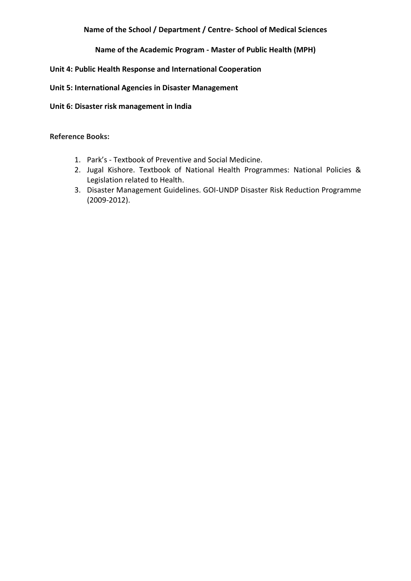### **Name of the Academic Program - Master of Public Health (MPH)**

## **Unit 4: Public Health Response and International Cooperation**

#### **Unit 5: International Agencies in Disaster Management**

**Unit 6: Disaster risk management in India**

**Reference Books:**

- 1. Park's Textbook of Preventive and Social Medicine.
- 2. Jugal Kishore. Textbook of National Health Programmes: National Policies & Legislation related to Health.
- 3. Disaster Management Guidelines. GOI-UNDP Disaster Risk Reduction Programme (2009-2012).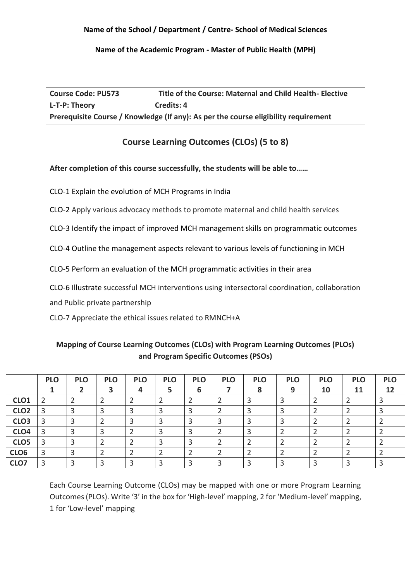### **Name of the Academic Program - Master of Public Health (MPH)**

**Course Code: PU573 Title of the Course: Maternal and Child Health- Elective**  L-T-P: Theory **Credits: 4 Prerequisite Course / Knowledge (If any): As per the course eligibility requirement**

# **Course Learning Outcomes (CLOs) (5 to 8)**

# **After completion of this course successfully, the students will be able to……**

CLO-1 Explain the evolution of MCH Programs in India

CLO-2 Apply various advocacy methods to promote maternal and child health services

CLO-3 Identify the impact of improved MCH management skills on programmatic outcomes

CLO-4 Outline the management aspects relevant to various levels of functioning in MCH

CLO-5 Perform an evaluation of the MCH programmatic activities in their area

CLO-6 Illustrate successful MCH interventions using intersectoral coordination, collaboration

and Public private partnership

CLO-7 Appreciate the ethical issues related to RMNCH+A

# **Mapping of Course Learning Outcomes (CLOs) with Program Learning Outcomes (PLOs) and Program Specific Outcomes (PSOs)**

|                  | <b>PLO</b> | <b>PLO</b> | <b>PLO</b> | <b>PLO</b> | <b>PLO</b> | <b>PLO</b> | <b>PLO</b> | <b>PLO</b> | <b>PLO</b> | <b>PLO</b> | <b>PLO</b> | <b>PLO</b> |
|------------------|------------|------------|------------|------------|------------|------------|------------|------------|------------|------------|------------|------------|
|                  |            |            |            |            |            | 6          |            |            | 9          | 10         | 11         | 12         |
| CLO <sub>1</sub> |            |            |            |            |            |            |            |            |            |            |            |            |
| CLO <sub>2</sub> |            |            |            |            |            |            |            |            |            |            |            |            |
| CLO <sub>3</sub> |            |            |            |            |            |            |            |            |            |            |            |            |
| CLO <sub>4</sub> |            |            |            |            |            |            |            |            |            |            |            |            |
| CLO <sub>5</sub> |            |            |            |            |            |            |            |            |            |            |            |            |
| CLO <sub>6</sub> |            |            |            |            |            |            |            |            |            |            |            |            |
| CLO7             | ͻ          |            |            |            |            |            |            |            |            |            |            |            |

Each Course Learning Outcome (CLOs) may be mapped with one or more Program Learning Outcomes (PLOs). Write '3' in the box for 'High-level' mapping, 2 for 'Medium-level' mapping, 1 for 'Low-level' mapping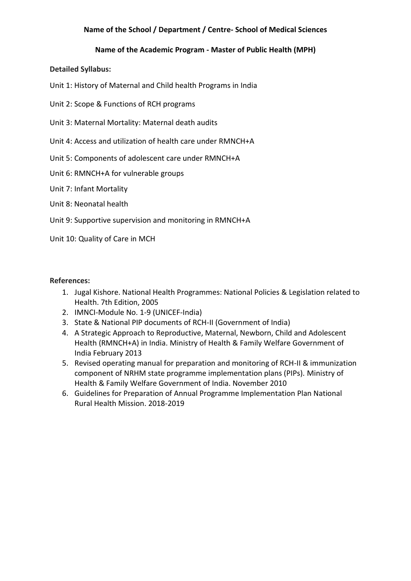### **Name of the Academic Program - Master of Public Health (MPH)**

#### **Detailed Syllabus:**

- Unit 1: History of Maternal and Child health Programs in India
- Unit 2: Scope & Functions of RCH programs
- Unit 3: Maternal Mortality: Maternal death audits
- Unit 4: Access and utilization of health care under RMNCH+A
- Unit 5: Components of adolescent care under RMNCH+A
- Unit 6: RMNCH+A for vulnerable groups
- Unit 7: Infant Mortality
- Unit 8: Neonatal health
- Unit 9: Supportive supervision and monitoring in RMNCH+A
- Unit 10: Quality of Care in MCH

#### **References:**

- 1. Jugal Kishore. National Health Programmes: National Policies & Legislation related to Health. 7th Edition, 2005
- 2. IMNCI-Module No. 1-9 (UNICEF-India)
- 3. State & National PIP documents of RCH-II (Government of India)
- 4. A Strategic Approach to Reproductive, Maternal, Newborn, Child and Adolescent Health (RMNCH+A) in India. Ministry of Health & Family Welfare Government of India February 2013
- 5. Revised operating manual for preparation and monitoring of RCH-II & immunization component of NRHM state programme implementation plans (PIPs). Ministry of Health & Family Welfare Government of India. November 2010
- 6. Guidelines for Preparation of Annual Programme Implementation Plan National Rural Health Mission. 2018-2019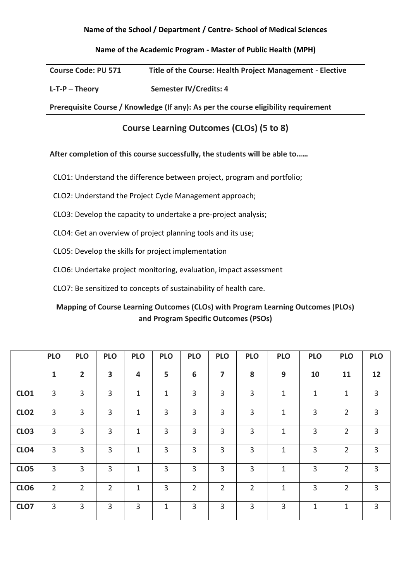#### **Name of the Academic Program - Master of Public Health (MPH)**

| <b>Course Code: PU 571</b>                                                          | Title of the Course: Health Project Management - Elective |  |  |  |  |  |  |
|-------------------------------------------------------------------------------------|-----------------------------------------------------------|--|--|--|--|--|--|
| $L$ -T-P – Theory                                                                   | Semester IV/Credits: 4                                    |  |  |  |  |  |  |
| Prerequisite Course / Knowledge (If any): As per the course eligibility requirement |                                                           |  |  |  |  |  |  |

# **Course Learning Outcomes (CLOs) (5 to 8)**

**After completion of this course successfully, the students will be able to……**

- CLO1: Understand the difference between project, program and portfolio;
- CLO2: Understand the Project Cycle Management approach;
- CLO3: Develop the capacity to undertake a pre-project analysis;
- CLO4: Get an overview of project planning tools and its use;
- CLO5: Develop the skills for project implementation
- CLO6: Undertake project monitoring, evaluation, impact assessment
- CLO7: Be sensitized to concepts of sustainability of health care.

# **Mapping of Course Learning Outcomes (CLOs) with Program Learning Outcomes (PLOs) and Program Specific Outcomes (PSOs)**

|                  | <b>PLO</b>     | <b>PLO</b>     | <b>PLO</b>              | <b>PLO</b>   | <b>PLO</b>     | <b>PLO</b>     | <b>PLO</b>     | <b>PLO</b>     | <b>PLO</b>   | <b>PLO</b>   | <b>PLO</b>     | <b>PLO</b>     |
|------------------|----------------|----------------|-------------------------|--------------|----------------|----------------|----------------|----------------|--------------|--------------|----------------|----------------|
|                  | 1              | $\overline{2}$ | $\overline{\mathbf{3}}$ | 4            | 5              | 6              | 7              | 8              | 9            | 10           | 11             | 12             |
| CLO <sub>1</sub> | $\overline{3}$ | $\overline{3}$ | $\overline{3}$          | $\mathbf{1}$ | $\mathbf{1}$   | 3              | 3              | 3              | $\mathbf{1}$ | $\mathbf{1}$ | $\mathbf 1$    | $\overline{3}$ |
| CLO <sub>2</sub> | $\overline{3}$ | $\overline{3}$ | 3                       | 1            | $\overline{3}$ | $\overline{3}$ | 3              | $\overline{3}$ | 1            | 3            | $\overline{2}$ | 3              |
| CLO <sub>3</sub> | 3              | 3              | 3                       | 1            | 3              | 3              | 3              | 3              | 1            | 3            | $\overline{2}$ | 3              |
| CLO <sub>4</sub> | $\overline{3}$ | $\overline{3}$ | 3                       | 1            | $\overline{3}$ | 3              | 3              | 3              | 1            | 3            | $\overline{2}$ | $\mathbf{3}$   |
| CLO <sub>5</sub> | $\mathbf{3}$   | 3              | 3                       | $\mathbf{1}$ | $\overline{3}$ | 3              | $\overline{3}$ | $\overline{3}$ | $\mathbf{1}$ | 3            | $\overline{2}$ | $\mathbf{3}$   |
| CLO6             | $\overline{2}$ | $\overline{2}$ | $\overline{2}$          | 1            | $\overline{3}$ | $\overline{2}$ | $\overline{2}$ | $\overline{2}$ | $\mathbf{1}$ | 3            | $\overline{2}$ | 3              |
| CLO7             | 3              | 3              | 3                       | 3            | 1              | $\overline{3}$ | 3              | 3              | 3            | $\mathbf{1}$ | $\mathbf{1}$   | 3              |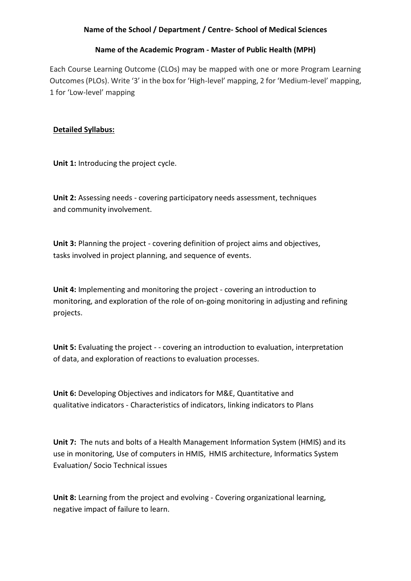#### **Name of the Academic Program - Master of Public Health (MPH)**

Each Course Learning Outcome (CLOs) may be mapped with one or more Program Learning Outcomes (PLOs). Write '3' in the box for 'High-level' mapping, 2 for 'Medium-level' mapping, 1 for 'Low-level' mapping

## **Detailed Syllabus:**

**Unit 1:** Introducing the project cycle.

**Unit 2:** Assessing needs - covering participatory needs assessment, techniques and community involvement.

**Unit 3:** Planning the project - covering definition of project aims and objectives, tasks involved in project planning, and sequence of events.

**Unit 4:** Implementing and monitoring the project - covering an introduction to monitoring, and exploration of the role of on-going monitoring in adjusting and refining projects.

**Unit 5:** Evaluating the project - - covering an introduction to evaluation, interpretation of data, and exploration of reactions to evaluation processes.

**Unit 6:** Developing Objectives and indicators for M&E, Quantitative and qualitative indicators - Characteristics of indicators, linking indicators to Plans

**Unit 7:** The nuts and bolts of a Health Management Information System (HMIS) and its use in monitoring, Use of computers in HMIS, HMIS architecture, Informatics System Evaluation/ Socio Technical issues

**Unit 8:** Learning from the project and evolving - Covering organizational learning, negative impact of failure to learn.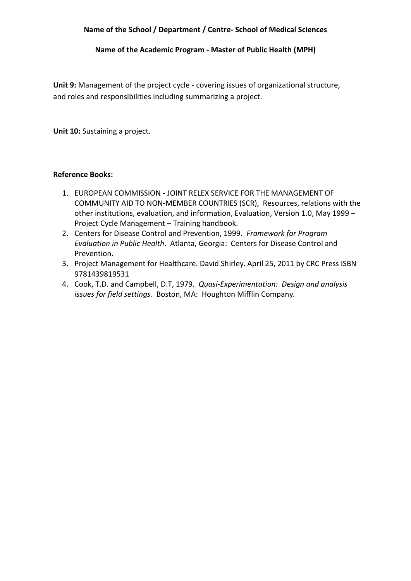**Name of the Academic Program - Master of Public Health (MPH)**

**Unit 9:** Management of the project cycle - covering issues of organizational structure, and roles and responsibilities including summarizing a project.

**Unit 10:** Sustaining a project.

#### **Reference Books:**

- 1. EUROPEAN COMMISSION JOINT RELEX SERVICE FOR THE MANAGEMENT OF COMMUNITY AID TO NON-MEMBER COUNTRIES (SCR), Resources, relations with the other institutions, evaluation, and information, Evaluation, Version 1.0, May 1999 – Project Cycle Management – Training handbook.
- 2. Centers for Disease Control and Prevention, 1999. *Framework for Program Evaluation in Public Health*. Atlanta, Georgia: Centers for Disease Control and Prevention.
- 3. Project Management for Healthcare. David Shirley. April 25, 2011 by CRC Press ISBN 9781439819531
- 4. Cook, T.D. and Campbell, D.T, 1979. *Quasi-Experimentation: Design and analysis issues for field settings.* Boston, MA: Houghton Mifflin Company.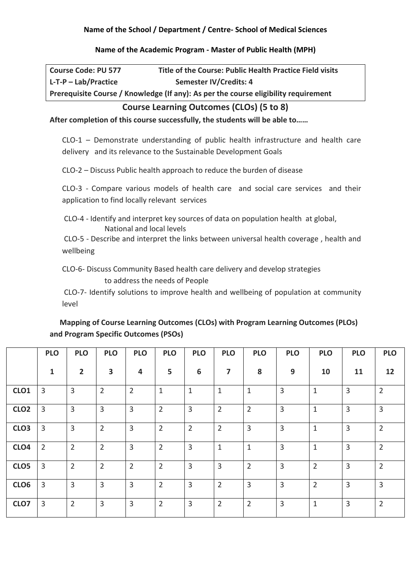#### **Name of the Academic Program - Master of Public Health (MPH)**

| <b>Course Code: PU 577</b> | Title of the Course: Public Health Practice Field visits                            |
|----------------------------|-------------------------------------------------------------------------------------|
| $L$ -T-P – Lab/Practice    | Semester IV/Credits: 4                                                              |
|                            | Prerequisite Course / Knowledge (If any): As per the course eligibility requirement |

# **Course Learning Outcomes (CLOs) (5 to 8)**

**After completion of this course successfully, the students will be able to……**

CLO-1 – Demonstrate understanding of public health infrastructure and health care delivery and its relevance to the Sustainable Development Goals

CLO-2 – Discuss Public health approach to reduce the burden of disease

CLO-3 - Compare various models of health care and social care services and their application to find locally relevant services

CLO-4 - Identify and interpret key sources of data on population health at global, National and local levels

CLO-5 - Describe and interpret the links between universal health coverage , health and wellbeing

CLO-6- Discuss Community Based health care delivery and develop strategies to address the needs of People

CLO-7- Identify solutions to improve health and wellbeing of population at community level

| Mapping of Course Learning Outcomes (CLOs) with Program Learning Outcomes (PLOs) |
|----------------------------------------------------------------------------------|
| and Program Specific Outcomes (PSOs)                                             |

|                  | <b>PLO</b>     | <b>PLO</b>     | <b>PLO</b>              | <b>PLO</b>     | <b>PLO</b>     | <b>PLO</b>     | <b>PLO</b>     | <b>PLO</b>     | <b>PLO</b> | <b>PLO</b>     | <b>PLO</b>     | <b>PLO</b>     |
|------------------|----------------|----------------|-------------------------|----------------|----------------|----------------|----------------|----------------|------------|----------------|----------------|----------------|
|                  | $\mathbf{1}$   | $\overline{2}$ | $\overline{\mathbf{3}}$ | 4              | 5              | 6              | $\overline{7}$ | 8              | 9          | 10             | 11             | 12             |
| CLO <sub>1</sub> | 3              | 3              | $\overline{2}$          | $\overline{2}$ | $\mathbf{1}$   | $\mathbf{1}$   | $\mathbf{1}$   | $\mathbf{1}$   | 3          | $\mathbf{1}$   | $\overline{3}$ | $\overline{2}$ |
| CLO <sub>2</sub> | 3              | 3              | 3                       | $\overline{3}$ | $\overline{2}$ | $\overline{3}$ | $\overline{2}$ | $\overline{2}$ | 3          | $\mathbf{1}$   | $\overline{3}$ | 3              |
| CLO <sub>3</sub> | 3              | 3              | $\overline{2}$          | $\overline{3}$ | $\overline{2}$ | $\overline{2}$ | $\overline{2}$ | $\overline{3}$ | 3          | $\mathbf{1}$   | $\overline{3}$ | $\overline{2}$ |
| CLO <sub>4</sub> | $\overline{2}$ | $\overline{2}$ | $\overline{2}$          | $\overline{3}$ | $\overline{2}$ | $\overline{3}$ | $\mathbf{1}$   | $\mathbf{1}$   | 3          | $\mathbf{1}$   | 3              | $\overline{2}$ |
| CLO <sub>5</sub> | 3              | $\overline{2}$ | $\overline{2}$          | $\overline{2}$ | $\overline{2}$ | $\overline{3}$ | $\overline{3}$ | $\overline{2}$ | 3          | $\overline{2}$ | 3              | $\overline{2}$ |
| CLO <sub>6</sub> | 3              | $\overline{3}$ | 3                       | $\overline{3}$ | $\overline{2}$ | $\overline{3}$ | $\overline{2}$ | 3              | 3          | 2              | 3              | $\overline{3}$ |
| CLO7             | 3              | $\overline{2}$ | 3                       | $\overline{3}$ | $\overline{2}$ | 3              | $\overline{2}$ | $\overline{2}$ | 3          | $\mathbf{1}$   | 3              | $\overline{2}$ |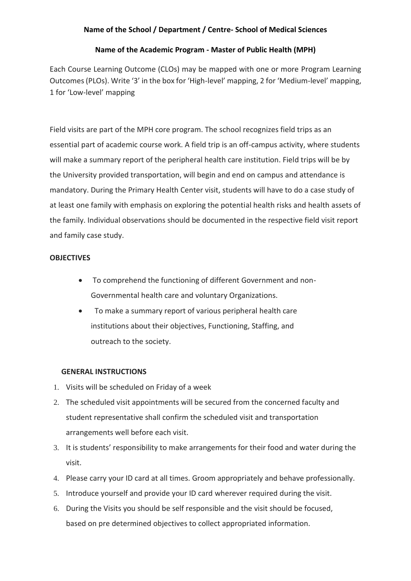#### **Name of the Academic Program - Master of Public Health (MPH)**

Each Course Learning Outcome (CLOs) may be mapped with one or more Program Learning Outcomes (PLOs). Write '3' in the box for 'High-level' mapping, 2 for 'Medium-level' mapping, 1 for 'Low-level' mapping

Field visits are part of the MPH core program. The school recognizes field trips as an essential part of academic course work. A field trip is an off-campus activity, where students will make a summary report of the peripheral health care institution. Field trips will be by the University provided transportation, will begin and end on campus and attendance is mandatory. During the Primary Health Center visit, students will have to do a case study of at least one family with emphasis on exploring the potential health risks and health assets of the family. Individual observations should be documented in the respective field visit report and family case study.

## **OBJECTIVES**

- To comprehend the functioning of different Government and non-Governmental health care and voluntary Organizations.
- To make a summary report of various peripheral health care institutions about their objectives, Functioning, Staffing, and outreach to the society.

# **GENERAL INSTRUCTIONS**

- 1. Visits will be scheduled on Friday of a week
- 2. The scheduled visit appointments will be secured from the concerned faculty and student representative shall confirm the scheduled visit and transportation arrangements well before each visit.
- 3. It is students' responsibility to make arrangements for their food and water during the visit.
- 4. Please carry your ID card at all times. Groom appropriately and behave professionally.
- 5. Introduce yourself and provide your ID card wherever required during the visit.
- 6. During the Visits you should be self responsible and the visit should be focused, based on pre determined objectives to collect appropriated information.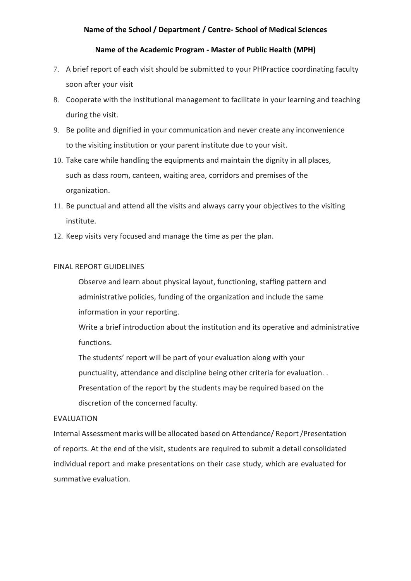#### **Name of the Academic Program - Master of Public Health (MPH)**

- 7. A brief report of each visit should be submitted to your PHPractice coordinating faculty soon after your visit
- 8. Cooperate with the institutional management to facilitate in your learning and teaching during the visit.
- 9. Be polite and dignified in your communication and never create any inconvenience to the visiting institution or your parent institute due to your visit.
- 10. Take care while handling the equipments and maintain the dignity in all places, such as class room, canteen, waiting area, corridors and premises of the organization.
- 11. Be punctual and attend all the visits and always carry your objectives to the visiting institute.
- 12. Keep visits very focused and manage the time as per the plan.

#### FINAL REPORT GUIDELINES

Observe and learn about physical layout, functioning, staffing pattern and administrative policies, funding of the organization and include the same information in your reporting.

Write a brief introduction about the institution and its operative and administrative functions.

The students' report will be part of your evaluation along with your punctuality, attendance and discipline being other criteria for evaluation. . Presentation of the report by the students may be required based on the discretion of the concerned faculty.

#### EVALUATION

Internal Assessment marks will be allocated based on Attendance/ Report /Presentation of reports. At the end of the visit, students are required to submit a detail consolidated individual report and make presentations on their case study, which are evaluated for summative evaluation.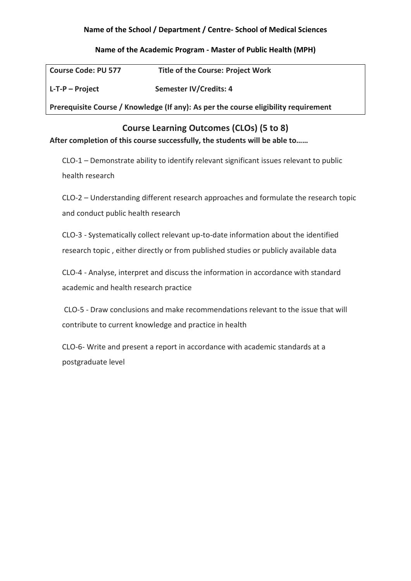## **Name of the Academic Program - Master of Public Health (MPH)**

| <b>Course Code: PU 577</b>                                                          | <b>Title of the Course: Project Work</b> |  |  |  |  |  |  |  |  |
|-------------------------------------------------------------------------------------|------------------------------------------|--|--|--|--|--|--|--|--|
| L-T-P – Project                                                                     | Semester IV/Credits: 4                   |  |  |  |  |  |  |  |  |
| Prerequisite Course / Knowledge (If any): As per the course eligibility requirement |                                          |  |  |  |  |  |  |  |  |

**Course Learning Outcomes (CLOs) (5 to 8)**

# **After completion of this course successfully, the students will be able to……**

CLO-1 – Demonstrate ability to identify relevant significant issues relevant to public health research

CLO-2 – Understanding different research approaches and formulate the research topic and conduct public health research

CLO-3 - Systematically collect relevant up-to-date information about the identified research topic , either directly or from published studies or publicly available data

CLO-4 - Analyse, interpret and discuss the information in accordance with standard academic and health research practice

CLO-5 - Draw conclusions and make recommendations relevant to the issue that will contribute to current knowledge and practice in health

CLO-6- Write and present a report in accordance with academic standards at a postgraduate level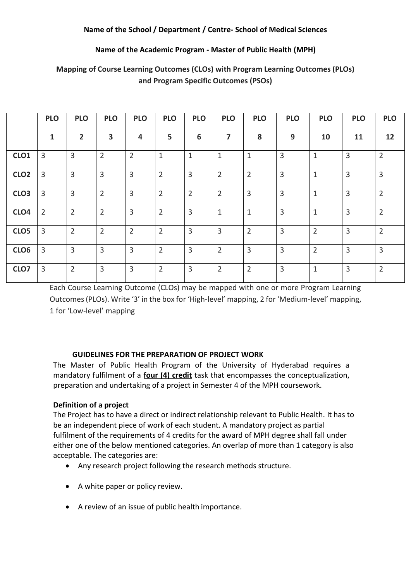# **Name of the Academic Program - Master of Public Health (MPH)**

|                  | <b>PLO</b>     | <b>PLO</b>     | <b>PLO</b>     | <b>PLO</b>     | <b>PLO</b>     | <b>PLO</b>     | <b>PLO</b>     | <b>PLO</b>     | <b>PLO</b>     | <b>PLO</b>     | <b>PLO</b>     | <b>PLO</b>     |
|------------------|----------------|----------------|----------------|----------------|----------------|----------------|----------------|----------------|----------------|----------------|----------------|----------------|
|                  | 1              | $\overline{2}$ | 3              | 4              | 5              | 6              | 7              | 8              | 9              | 10             | 11             | 12             |
| CLO <sub>1</sub> | $\overline{3}$ | $\overline{3}$ | $\overline{2}$ | $\overline{2}$ | $\mathbf{1}$   | $1\,$          | $\mathbf{1}$   | $\mathbf{1}$   | 3              | $\mathbf{1}$   | $\overline{3}$ | $\overline{2}$ |
| CLO <sub>2</sub> | 3              | $\overline{3}$ | $\overline{3}$ | $\overline{3}$ | $\overline{2}$ | $\overline{3}$ | $\overline{2}$ | $\overline{2}$ | $\overline{3}$ | $\mathbf{1}$   | $\overline{3}$ | $\overline{3}$ |
| CLO <sub>3</sub> | $\overline{3}$ | $\overline{3}$ | $\overline{2}$ | $\overline{3}$ | $\overline{2}$ | $\overline{2}$ | 2              | 3              | $\overline{3}$ | $\mathbf{1}$   | $\overline{3}$ | $\overline{2}$ |
| CLO <sub>4</sub> | $\overline{2}$ | $\overline{2}$ | $\overline{2}$ | $\overline{3}$ | $\overline{2}$ | $\overline{3}$ | 1              | $\mathbf{1}$   | $\overline{3}$ | 1              | $\overline{3}$ | $\overline{2}$ |
| CLO <sub>5</sub> | 3              | $\overline{2}$ | $\overline{2}$ | $\overline{2}$ | $\overline{2}$ | $\overline{3}$ | 3              | $\overline{2}$ | $\overline{3}$ | $\overline{2}$ | $\overline{3}$ | $\overline{2}$ |
| CLO <sub>6</sub> | 3              | $\overline{3}$ | $\overline{3}$ | $\overline{3}$ | $\overline{2}$ | $\overline{3}$ | $\overline{2}$ | $\overline{3}$ | $\overline{3}$ | $\overline{2}$ | $\overline{3}$ | 3              |
| CLO7             | 3              | $\overline{2}$ | 3              | $\overline{3}$ | $\overline{2}$ | $\overline{3}$ | $\overline{2}$ | $\overline{2}$ | $\overline{3}$ | $\mathbf{1}$   | $\overline{3}$ | $\overline{2}$ |

# **Mapping of Course Learning Outcomes (CLOs) with Program Learning Outcomes (PLOs) and Program Specific Outcomes (PSOs)**

Each Course Learning Outcome (CLOs) may be mapped with one or more Program Learning Outcomes (PLOs). Write '3' in the box for 'High-level' mapping, 2 for 'Medium-level' mapping, 1 for 'Low-level' mapping

# **GUIDELINES FOR THE PREPARATION OF PROJECT WORK**

The Master of Public Health Program of the University of Hyderabad requires a mandatory fulfilment of a **four (4) credit** task that encompasses the conceptualization, preparation and undertaking of a project in Semester 4 of the MPH coursework.

# **Definition of a project**

The Project has to have a direct or indirect relationship relevant to Public Health. It has to be an independent piece of work of each student. A mandatory project as partial fulfilment of the requirements of 4 credits for the award of MPH degree shall fall under either one of the below mentioned categories. An overlap of more than 1 category is also acceptable. The categories are:

- Any research project following the research methods structure.
- A white paper or policy review.
- A review of an issue of public health importance.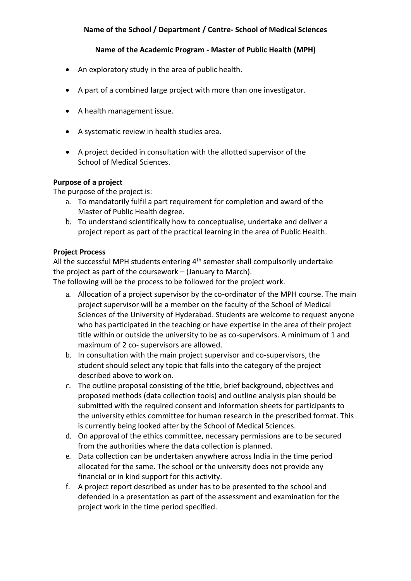## **Name of the Academic Program - Master of Public Health (MPH)**

- An exploratory study in the area of public health.
- A part of a combined large project with more than one investigator.
- A health management issue.
- A systematic review in health studies area.
- A project decided in consultation with the allotted supervisor of the School of Medical Sciences.

#### **Purpose of a project**

The purpose of the project is:

- a. To mandatorily fulfil a part requirement for completion and award of the Master of Public Health degree.
- b. To understand scientifically how to conceptualise, undertake and deliver a project report as part of the practical learning in the area of Public Health.

#### **Project Process**

All the successful MPH students entering  $4<sup>th</sup>$  semester shall compulsorily undertake the project as part of the coursework – (January to March).

The following will be the process to be followed for the project work.

- a. Allocation of a project supervisor by the co-ordinator of the MPH course. The main project supervisor will be a member on the faculty of the School of Medical Sciences of the University of Hyderabad. Students are welcome to request anyone who has participated in the teaching or have expertise in the area of their project title within or outside the university to be as co-supervisors. A minimum of 1 and maximum of 2 co- supervisors are allowed.
- b. In consultation with the main project supervisor and co-supervisors, the student should select any topic that falls into the category of the project described above to work on.
- c. The outline proposal consisting of the title, brief background, objectives and proposed methods (data collection tools) and outline analysis plan should be submitted with the required consent and information sheets for participants to the university ethics committee for human research in the prescribed format. This is currently being looked after by the School of Medical Sciences.
- d. On approval of the ethics committee, necessary permissions are to be secured from the authorities where the data collection is planned.
- e. Data collection can be undertaken anywhere across India in the time period allocated for the same. The school or the university does not provide any financial or in kind support for this activity.
- f. A project report described as under has to be presented to the school and defended in a presentation as part of the assessment and examination for the project work in the time period specified.